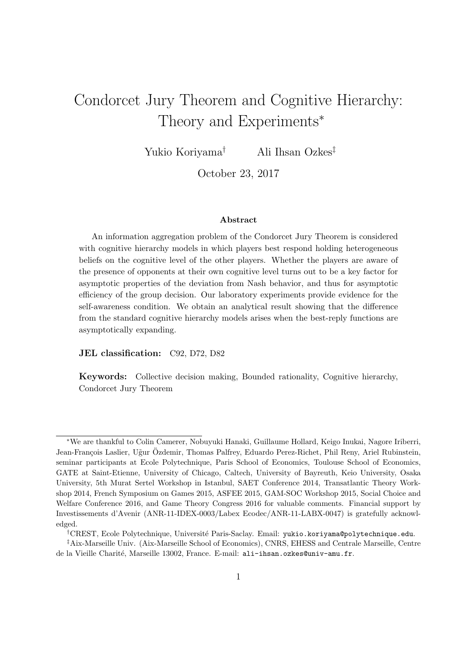# Condorcet Jury Theorem and Cognitive Hierarchy: Theory and Experiments<sup>\*</sup>

Yukio Koriyama† Ali Ihsan Ozkes‡

October 23, 2017

#### Abstract

An information aggregation problem of the Condorcet Jury Theorem is considered with cognitive hierarchy models in which players best respond holding heterogeneous beliefs on the cognitive level of the other players. Whether the players are aware of the presence of opponents at their own cognitive level turns out to be a key factor for asymptotic properties of the deviation from Nash behavior, and thus for asymptotic efficiency of the group decision. Our laboratory experiments provide evidence for the self-awareness condition. We obtain an analytical result showing that the difference from the standard cognitive hierarchy models arises when the best-reply functions are asymptotically expanding.

JEL classification: C92, D72, D82

Keywords: Collective decision making, Bounded rationality, Cognitive hierarchy, Condorcet Jury Theorem

<sup>∗</sup>We are thankful to Colin Camerer, Nobuyuki Hanaki, Guillaume Hollard, Keigo Inukai, Nagore Iriberri, Jean-François Laslier, Uğur Özdemir, Thomas Palfrey, Eduardo Perez-Richet, Phil Reny, Ariel Rubinstein, seminar participants at Ecole Polytechnique, Paris School of Economics, Toulouse School of Economics, GATE at Saint-Etienne, University of Chicago, Caltech, University of Bayreuth, Keio University, Osaka University, 5th Murat Sertel Workshop in Istanbul, SAET Conference 2014, Transatlantic Theory Workshop 2014, French Symposium on Games 2015, ASFEE 2015, GAM-SOC Workshop 2015, Social Choice and Welfare Conference 2016, and Game Theory Congress 2016 for valuable comments. Financial support by Investissements d'Avenir (ANR-11-IDEX-0003/Labex Ecodec/ANR-11-LABX-0047) is gratefully acknowledged.

<sup>†</sup>CREST, Ecole Polytechnique, Universit´e Paris-Saclay. Email: yukio.koriyama@polytechnique.edu.

<sup>‡</sup>Aix-Marseille Univ. (Aix-Marseille School of Economics), CNRS, EHESS and Centrale Marseille, Centre de la Vieille Charité, Marseille 13002, France. E-mail: ali-ihsan.ozkes@univ-amu.fr.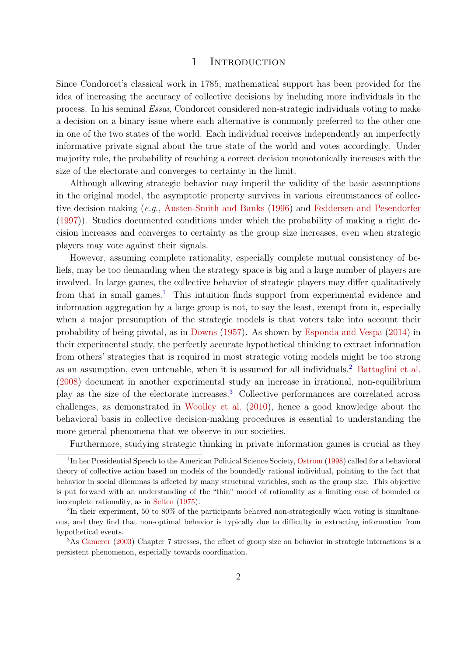#### 1 INTRODUCTION

Since Condorcet's classical work in 1785, mathematical support has been provided for the idea of increasing the accuracy of collective decisions by including more individuals in the process. In his seminal Essai, Condorcet considered non-strategic individuals voting to make a decision on a binary issue where each alternative is commonly preferred to the other one in one of the two states of the world. Each individual receives independently an imperfectly informative private signal about the true state of the world and votes accordingly. Under majority rule, the probability of reaching a correct decision monotonically increases with the size of the electorate and converges to certainty in the limit.

Although allowing strategic behavior may imperil the validity of the basic assumptions in the original model, the asymptotic property survives in various circumstances of collective decision making (e.g., [Austen-Smith and Banks](#page-26-0) [\(1996\)](#page-26-0) and [Feddersen and Pesendorfer](#page-27-0) [\(1997\)](#page-27-0)). Studies documented conditions under which the probability of making a right decision increases and converges to certainty as the group size increases, even when strategic players may vote against their signals.

However, assuming complete rationality, especially complete mutual consistency of beliefs, may be too demanding when the strategy space is big and a large number of players are involved. In large games, the collective behavior of strategic players may differ qualitatively from that in small games.<sup>[1](#page-1-0)</sup> This intuition finds support from experimental evidence and information aggregation by a large group is not, to say the least, exempt from it, especially when a major presumption of the strategic models is that voters take into account their probability of being pivotal, as in [Downs](#page-27-1) [\(1957\)](#page-27-1). As shown by [Esponda and Vespa](#page-27-2) [\(2014\)](#page-27-2) in their experimental study, the perfectly accurate hypothetical thinking to extract information from others' strategies that is required in most strategic voting models might be too strong as an assumption, even untenable, when it is assumed for all individuals.[2](#page-1-1) [Battaglini et al.](#page-26-1) [\(2008\)](#page-26-1) document in another experimental study an increase in irrational, non-equilibrium play as the size of the electorate increases.[3](#page-1-2) Collective performances are correlated across challenges, as demonstrated in [Woolley et al.](#page-28-0) [\(2010\)](#page-28-0), hence a good knowledge about the behavioral basis in collective decision-making procedures is essential to understanding the more general phenomena that we observe in our societies.

<span id="page-1-0"></span>Furthermore, studying strategic thinking in private information games is crucial as they

<sup>&</sup>lt;sup>1</sup>In her Presidential Speech to the American Political Science Society, [Ostrom](#page-28-1) [\(1998\)](#page-28-1) called for a behavioral theory of collective action based on models of the boundedly rational individual, pointing to the fact that behavior in social dilemmas is affected by many structural variables, such as the group size. This objective is put forward with an understanding of the "thin" model of rationality as a limiting case of bounded or incomplete rationality, as in [Selten](#page-28-2) [\(1975\)](#page-28-2).

<span id="page-1-1"></span> $2\text{In their experiment, } 50 \text{ to } 80\%$  of the participants behaved non-strategically when voting is simultaneous, and they find that non-optimal behavior is typically due to difficulty in extracting information from hypothetical events.

<span id="page-1-2"></span><sup>3</sup>As [Camerer](#page-27-3) [\(2003\)](#page-27-3) Chapter 7 stresses, the effect of group size on behavior in strategic interactions is a persistent phenomenon, especially towards coordination.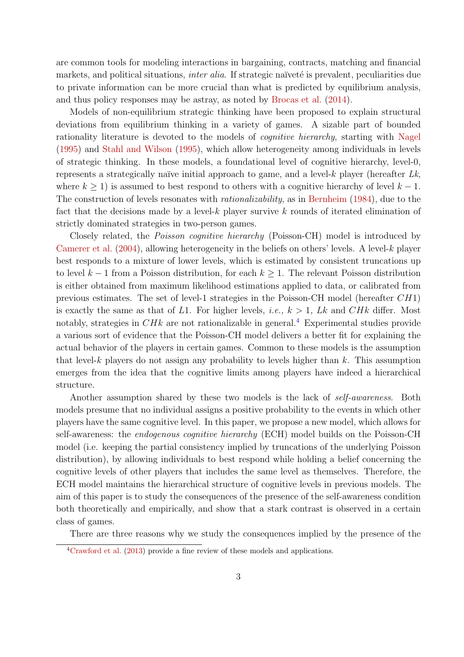are common tools for modeling interactions in bargaining, contracts, matching and financial markets, and political situations, *inter alia*. If strategic naïveté is prevalent, peculiarities due to private information can be more crucial than what is predicted by equilibrium analysis, and thus policy responses may be astray, as noted by [Brocas et al.](#page-27-4) [\(2014\)](#page-27-4).

Models of non-equilibrium strategic thinking have been proposed to explain structural deviations from equilibrium thinking in a variety of games. A sizable part of bounded rationality literature is devoted to the models of cognitive hierarchy, starting with [Nagel](#page-28-3) [\(1995\)](#page-28-3) and [Stahl and Wilson](#page-28-4) [\(1995\)](#page-28-4), which allow heterogeneity among individuals in levels of strategic thinking. In these models, a foundational level of cognitive hierarchy, level-0, represents a strategically naïve initial approach to game, and a level- $k$  player (hereafter  $Lk$ , where  $k > 1$ ) is assumed to best respond to others with a cognitive hierarchy of level  $k - 1$ . The construction of levels resonates with *rationalizability*, as in [Bernheim](#page-26-2) [\(1984\)](#page-26-2), due to the fact that the decisions made by a level-k player survive k rounds of iterated elimination of strictly dominated strategies in two-person games.

Closely related, the Poisson cognitive hierarchy (Poisson-CH) model is introduced by [Camerer et al.](#page-27-5)  $(2004)$ , allowing heterogeneity in the beliefs on others' levels. A level-k player best responds to a mixture of lower levels, which is estimated by consistent truncations up to level  $k-1$  from a Poisson distribution, for each  $k \geq 1$ . The relevant Poisson distribution is either obtained from maximum likelihood estimations applied to data, or calibrated from previous estimates. The set of level-1 strategies in the Poisson-CH model (hereafter CH1) is exactly the same as that of L1. For higher levels, *i.e.*,  $k > 1$ , Lk and CHk differ. Most notably, strategies in  $CHk$  are not rationalizable in general.<sup>[4](#page-2-0)</sup> Experimental studies provide a various sort of evidence that the Poisson-CH model delivers a better fit for explaining the actual behavior of the players in certain games. Common to these models is the assumption that level-k players do not assign any probability to levels higher than k. This assumption emerges from the idea that the cognitive limits among players have indeed a hierarchical structure.

Another assumption shared by these two models is the lack of self-awareness. Both models presume that no individual assigns a positive probability to the events in which other players have the same cognitive level. In this paper, we propose a new model, which allows for self-awareness: the endogenous cognitive hierarchy (ECH) model builds on the Poisson-CH model (i.e. keeping the partial consistency implied by truncations of the underlying Poisson distribution), by allowing individuals to best respond while holding a belief concerning the cognitive levels of other players that includes the same level as themselves. Therefore, the ECH model maintains the hierarchical structure of cognitive levels in previous models. The aim of this paper is to study the consequences of the presence of the self-awareness condition both theoretically and empirically, and show that a stark contrast is observed in a certain class of games.

There are three reasons why we study the consequences implied by the presence of the

<span id="page-2-0"></span><sup>4</sup>[Crawford et al.](#page-27-6) [\(2013\)](#page-27-6) provide a fine review of these models and applications.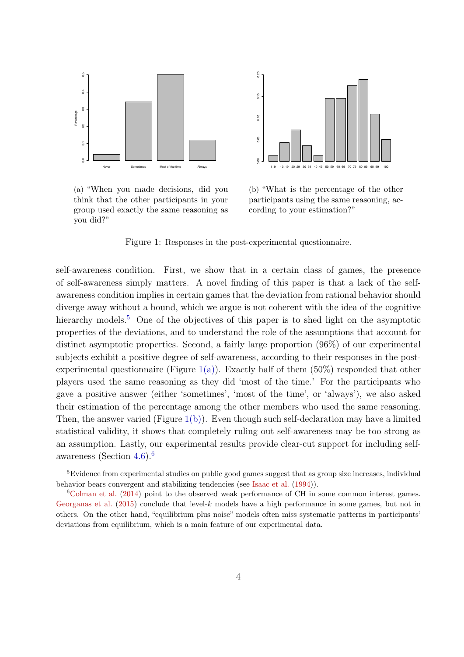<span id="page-3-1"></span>

(a) "When you made decisions, did you think that the other participants in your group used exactly the same reasoning as you did?"



<span id="page-3-2"></span>(b) "What is the percentage of the other participants using the same reasoning, according to your estimation?"

Figure 1: Responses in the post-experimental questionnaire.

self-awareness condition. First, we show that in a certain class of games, the presence of self-awareness simply matters. A novel finding of this paper is that a lack of the selfawareness condition implies in certain games that the deviation from rational behavior should diverge away without a bound, which we argue is not coherent with the idea of the cognitive hierarchy models.<sup>[5](#page-3-0)</sup> One of the objectives of this paper is to shed light on the asymptotic properties of the deviations, and to understand the role of the assumptions that account for distinct asymptotic properties. Second, a fairly large proportion (96%) of our experimental subjects exhibit a positive degree of self-awareness, according to their responses in the post-experimental questionnaire (Figure [1\(a\)\)](#page-3-1). Exactly half of them  $(50\%)$  responded that other players used the same reasoning as they did 'most of the time.' For the participants who gave a positive answer (either 'sometimes', 'most of the time', or 'always'), we also asked their estimation of the percentage among the other members who used the same reasoning. Then, the answer varied (Figure  $1(b)$ ). Even though such self-declaration may have a limited statistical validity, it shows that completely ruling out self-awareness may be too strong as an assumption. Lastly, our experimental results provide clear-cut support for including selfawareness (Section [4.6\)](#page-18-0).[6](#page-3-3)

<span id="page-3-0"></span><sup>&</sup>lt;sup>5</sup>Evidence from experimental studies on public good games suggest that as group size increases, individual behavior bears convergent and stabilizing tendencies (see [Isaac et al.](#page-28-5) [\(1994\)](#page-28-5)).

<span id="page-3-3"></span> ${}^{6}$ [Colman et al.](#page-27-7) [\(2014\)](#page-27-7) point to the observed weak performance of CH in some common interest games. [Georganas et al.](#page-28-6)  $(2015)$  conclude that level-k models have a high performance in some games, but not in others. On the other hand, "equilibrium plus noise" models often miss systematic patterns in participants' deviations from equilibrium, which is a main feature of our experimental data.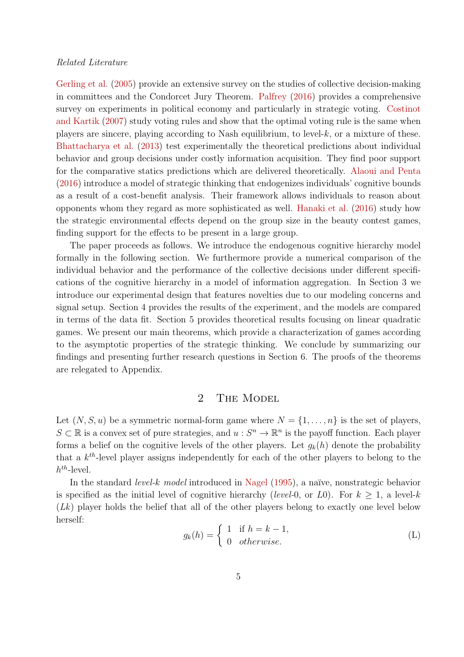#### Related Literature

[Gerling et al.](#page-28-7) [\(2005\)](#page-28-7) provide an extensive survey on the studies of collective decision-making in committees and the Condorcet Jury Theorem. [Palfrey](#page-28-8) [\(2016\)](#page-28-8) provides a comprehensive survey on experiments in political economy and particularly in strategic voting. [Costinot](#page-27-8) [and Kartik](#page-27-8) [\(2007\)](#page-27-8) study voting rules and show that the optimal voting rule is the same when players are sincere, playing according to Nash equilibrium, to level- $k$ , or a mixture of these. [Bhattacharya et al.](#page-26-3) [\(2013\)](#page-26-3) test experimentally the theoretical predictions about individual behavior and group decisions under costly information acquisition. They find poor support for the comparative statics predictions which are delivered theoretically. [Alaoui and Penta](#page-26-4) [\(2016\)](#page-26-4) introduce a model of strategic thinking that endogenizes individuals' cognitive bounds as a result of a cost-benefit analysis. Their framework allows individuals to reason about opponents whom they regard as more sophisticated as well. [Hanaki et al.](#page-28-9) [\(2016\)](#page-28-9) study how the strategic environmental effects depend on the group size in the beauty contest games, finding support for the effects to be present in a large group.

The paper proceeds as follows. We introduce the endogenous cognitive hierarchy model formally in the following section. We furthermore provide a numerical comparison of the individual behavior and the performance of the collective decisions under different specifications of the cognitive hierarchy in a model of information aggregation. In Section 3 we introduce our experimental design that features novelties due to our modeling concerns and signal setup. Section 4 provides the results of the experiment, and the models are compared in terms of the data fit. Section 5 provides theoretical results focusing on linear quadratic games. We present our main theorems, which provide a characterization of games according to the asymptotic properties of the strategic thinking. We conclude by summarizing our findings and presenting further research questions in Section 6. The proofs of the theorems are relegated to Appendix.

## 2 THE MODEL

<span id="page-4-0"></span>Let  $(N, S, u)$  be a symmetric normal-form game where  $N = \{1, \ldots, n\}$  is the set of players,  $S \subset \mathbb{R}$  is a convex set of pure strategies, and  $u : S^n \to \mathbb{R}^n$  is the payoff function. Each player forms a belief on the cognitive levels of the other players. Let  $g_k(h)$  denote the probability that a  $k^{th}$ -level player assigns independently for each of the other players to belong to the  $h^{th}$ -level.

In the standard *level-k model* introduced in [Nagel](#page-28-3)  $(1995)$ , a naïve, nonstrategic behavior is specified as the initial level of cognitive hierarchy (level-0, or L0). For  $k \geq 1$ , a level-k (Lk) player holds the belief that all of the other players belong to exactly one level below herself:

$$
g_k(h) = \begin{cases} 1 & \text{if } h = k - 1, \\ 0 & otherwise. \end{cases}
$$
 (L)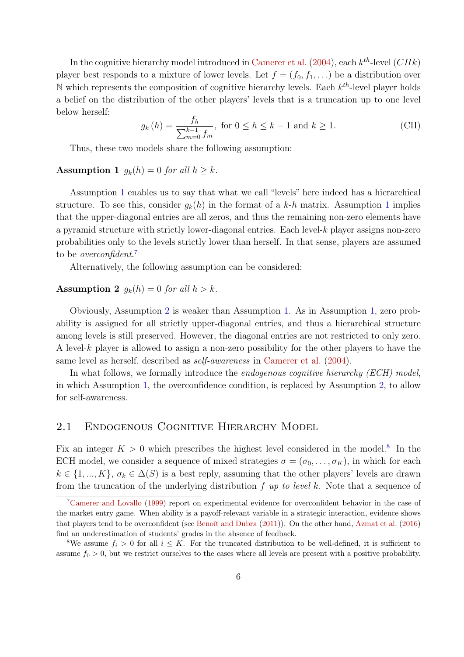In the cognitive hierarchy model introduced in [Camerer et al.](#page-27-5)  $(2004)$ , each  $k^{th}$ -level  $(CHk)$ player best responds to a mixture of lower levels. Let  $f = (f_0, f_1, \ldots)$  be a distribution over N which represents the composition of cognitive hierarchy levels. Each  $k^{th}$ -level player holds a belief on the distribution of the other players' levels that is a truncation up to one level below herself:

$$
g_k(h) = \frac{f_h}{\sum_{m=0}^{k-1} f_m}, \text{ for } 0 \le h \le k - 1 \text{ and } k \ge 1.
$$
 (CH)

Thus, these two models share the following assumption:

#### <span id="page-5-0"></span>Assumption 1  $q_k(h) = 0$  for all  $h \geq k$ .

Assumption [1](#page-5-0) enables us to say that what we call "levels" here indeed has a hierarchical structure. To see this, consider  $g_k(h)$  in the format of a k-h matrix. Assumption [1](#page-5-0) implies that the upper-diagonal entries are all zeros, and thus the remaining non-zero elements have a pyramid structure with strictly lower-diagonal entries. Each level- $k$  player assigns non-zero probabilities only to the levels strictly lower than herself. In that sense, players are assumed to be *overconfident*.<sup>[7](#page-5-1)</sup>

Alternatively, the following assumption can be considered:

#### <span id="page-5-2"></span>**Assumption 2**  $g_k(h) = 0$  for all  $h > k$ .

Obviously, Assumption [2](#page-5-2) is weaker than Assumption [1.](#page-5-0) As in Assumption [1,](#page-5-0) zero probability is assigned for all strictly upper-diagonal entries, and thus a hierarchical structure among levels is still preserved. However, the diagonal entries are not restricted to only zero. A level-k player is allowed to assign a non-zero possibility for the other players to have the same level as herself, described as self-awareness in [Camerer et al.](#page-27-5) [\(2004\)](#page-27-5).

In what follows, we formally introduce the *endogenous cognitive hierarchy (ECH) model*, in which Assumption [1,](#page-5-0) the overconfidence condition, is replaced by Assumption [2,](#page-5-2) to allow for self-awareness.

## 2.1 Endogenous Cognitive Hierarchy Model

Fix an integer  $K > 0$  which prescribes the highest level considered in the model.<sup>[8](#page-5-3)</sup> In the ECH model, we consider a sequence of mixed strategies  $\sigma = (\sigma_0, \ldots, \sigma_K)$ , in which for each  $k \in \{1, ..., K\}, \sigma_k \in \Delta(S)$  is a best reply, assuming that the other players' levels are drawn from the truncation of the underlying distribution  $f$  up to level k. Note that a sequence of

<span id="page-5-1"></span><sup>7</sup>[Camerer and Lovallo](#page-27-9) [\(1999\)](#page-27-9) report on experimental evidence for overconfident behavior in the case of the market entry game. When ability is a payoff-relevant variable in a strategic interaction, evidence shows that players tend to be overconfident (see Benoît and Dubra [\(2011\)](#page-26-5)). On the other hand, [Azmat et al.](#page-26-6) [\(2016\)](#page-26-6) find an underestimation of students' grades in the absence of feedback.

<span id="page-5-3"></span><sup>&</sup>lt;sup>8</sup>We assume  $f_i > 0$  for all  $i \leq K$ . For the truncated distribution to be well-defined, it is sufficient to assume  $f_0 > 0$ , but we restrict ourselves to the cases where all levels are present with a positive probability.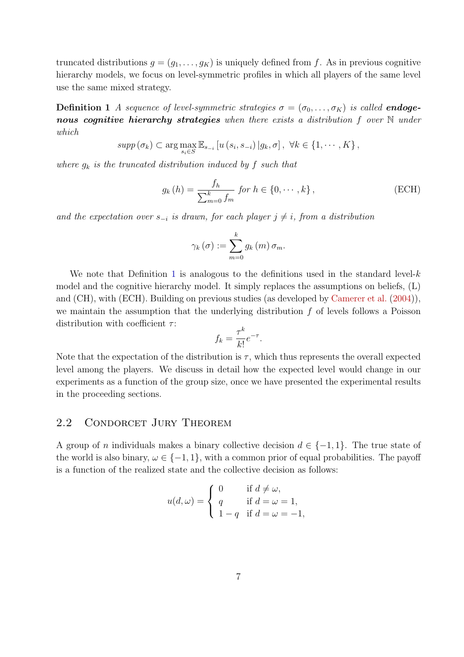truncated distributions  $g = (g_1, \ldots, g_K)$  is uniquely defined from f. As in previous cognitive hierarchy models, we focus on level-symmetric profiles in which all players of the same level use the same mixed strategy.

**Definition 1** A sequence of level-symmetric strategies  $\sigma = (\sigma_0, \ldots, \sigma_K)$  is called **endoge**nous cognitive hierarchy strategies when there exists a distribution f over  $\mathbb N$  under which

<span id="page-6-0"></span>
$$
supp (\sigma_k) \subset \arg \max_{s_i \in S} \mathbb{E}_{s_{-i}} \left[ u \left( s_i, s_{-i} \right) \vert g_k, \sigma \right], \ \forall k \in \{1, \cdots, K\},\
$$

where  $g_k$  is the truncated distribution induced by f such that

$$
g_k(h) = \frac{f_h}{\sum_{m=0}^k f_m} \text{ for } h \in \{0, \cdots, k\},\tag{ECH}
$$

and the expectation over  $s_{-i}$  is drawn, for each player  $j \neq i$ , from a distribution

$$
\gamma_{k}(\sigma) := \sum_{m=0}^{k} g_{k}(m) \,\sigma_{m}.
$$

We note that Definition [1](#page-6-0) is analogous to the definitions used in the standard level- $k$ model and the cognitive hierarchy model. It simply replaces the assumptions on beliefs, (L) and (CH), with (ECH). Building on previous studies (as developed by [Camerer et al.](#page-27-5) [\(2004\)](#page-27-5)), we maintain the assumption that the underlying distribution  $f$  of levels follows a Poisson distribution with coefficient  $\tau$ :

$$
f_k = \frac{\tau^k}{k!} e^{-\tau}.
$$

Note that the expectation of the distribution is  $\tau$ , which thus represents the overall expected level among the players. We discuss in detail how the expected level would change in our experiments as a function of the group size, once we have presented the experimental results in the proceeding sections.

## 2.2 CONDORCET JURY THEOREM

A group of n individuals makes a binary collective decision  $d \in \{-1,1\}$ . The true state of the world is also binary,  $\omega \in \{-1, 1\}$ , with a common prior of equal probabilities. The payoff is a function of the realized state and the collective decision as follows:

$$
u(d,\omega) = \begin{cases} 0 & \text{if } d \neq \omega, \\ q & \text{if } d = \omega = 1, \\ 1 - q & \text{if } d = \omega = -1, \end{cases}
$$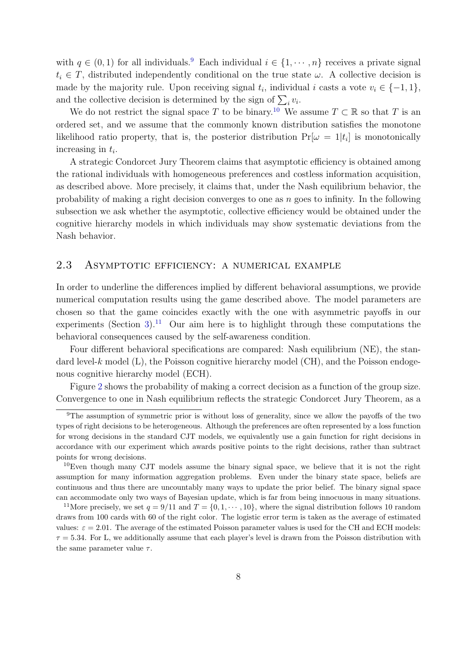with  $q \in (0,1)$  for all individuals.<sup>[9](#page-7-0)</sup> Each individual  $i \in \{1, \dots, n\}$  receives a private signal  $t_i \in T$ , distributed independently conditional on the true state  $\omega$ . A collective decision is made by the majority rule. Upon receiving signal  $t_i$ , individual i casts a vote  $v_i \in \{-1, 1\}$ , and the collective decision is determined by the sign of  $\sum_i v_i$ .

We do not restrict the signal space T to be binary.<sup>[10](#page-7-1)</sup> We assume  $T \subset \mathbb{R}$  so that T is an ordered set, and we assume that the commonly known distribution satisfies the monotone likelihood ratio property, that is, the posterior distribution  $Pr[\omega = 1 | t_i]$  is monotonically increasing in  $t_i$ .

A strategic Condorcet Jury Theorem claims that asymptotic efficiency is obtained among the rational individuals with homogeneous preferences and costless information acquisition, as described above. More precisely, it claims that, under the Nash equilibrium behavior, the probability of making a right decision converges to one as  $n$  goes to infinity. In the following subsection we ask whether the asymptotic, collective efficiency would be obtained under the cognitive hierarchy models in which individuals may show systematic deviations from the Nash behavior.

## 2.3 Asymptotic efficiency: a numerical example

In order to underline the differences implied by different behavioral assumptions, we provide numerical computation results using the game described above. The model parameters are chosen so that the game coincides exactly with the one with asymmetric payoffs in our experiments (Section [3\)](#page-9-0).<sup>[11](#page-7-2)</sup> Our aim here is to highlight through these computations the behavioral consequences caused by the self-awareness condition.

Four different behavioral specifications are compared: Nash equilibrium (NE), the standard level- $k$  model  $(L)$ , the Poisson cognitive hierarchy model  $(CH)$ , and the Poisson endogenous cognitive hierarchy model (ECH).

Figure [2](#page-8-0) shows the probability of making a correct decision as a function of the group size. Convergence to one in Nash equilibrium reflects the strategic Condorcet Jury Theorem, as a

<span id="page-7-0"></span><sup>9</sup>The assumption of symmetric prior is without loss of generality, since we allow the payoffs of the two types of right decisions to be heterogeneous. Although the preferences are often represented by a loss function for wrong decisions in the standard CJT models, we equivalently use a gain function for right decisions in accordance with our experiment which awards positive points to the right decisions, rather than subtract points for wrong decisions.

<span id="page-7-1"></span><sup>&</sup>lt;sup>10</sup>Even though many CJT models assume the binary signal space, we believe that it is not the right assumption for many information aggregation problems. Even under the binary state space, beliefs are continuous and thus there are uncountably many ways to update the prior belief. The binary signal space can accommodate only two ways of Bayesian update, which is far from being innocuous in many situations.

<span id="page-7-2"></span><sup>&</sup>lt;sup>11</sup>More precisely, we set  $q = 9/11$  and  $T = \{0, 1, \dots, 10\}$ , where the signal distribution follows 10 random draws from 100 cards with 60 of the right color. The logistic error term is taken as the average of estimated values:  $\varepsilon = 2.01$ . The average of the estimated Poisson parameter values is used for the CH and ECH models:  $\tau = 5.34$ . For L, we additionally assume that each player's level is drawn from the Poisson distribution with the same parameter value  $\tau$ .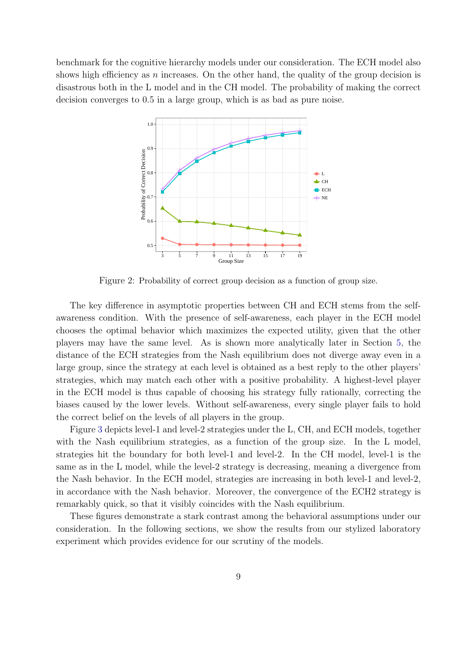<span id="page-8-0"></span>benchmark for the cognitive hierarchy models under our consideration. The ECH model also shows high efficiency as n increases. On the other hand, the quality of the group decision is disastrous both in the L model and in the CH model. The probability of making the correct decision converges to 0.5 in a large group, which is as bad as pure noise.



Figure 2: Probability of correct group decision as a function of group size.

The key difference in asymptotic properties between CH and ECH stems from the selfawareness condition. With the presence of self-awareness, each player in the ECH model chooses the optimal behavior which maximizes the expected utility, given that the other players may have the same level. As is shown more analytically later in Section [5,](#page-19-0) the distance of the ECH strategies from the Nash equilibrium does not diverge away even in a large group, since the strategy at each level is obtained as a best reply to the other players' strategies, which may match each other with a positive probability. A highest-level player in the ECH model is thus capable of choosing his strategy fully rationally, correcting the biases caused by the lower levels. Without self-awareness, every single player fails to hold the correct belief on the levels of all players in the group.

Figure [3](#page-9-1) depicts level-1 and level-2 strategies under the L, CH, and ECH models, together with the Nash equilibrium strategies, as a function of the group size. In the L model, strategies hit the boundary for both level-1 and level-2. In the CH model, level-1 is the same as in the L model, while the level-2 strategy is decreasing, meaning a divergence from the Nash behavior. In the ECH model, strategies are increasing in both level-1 and level-2, in accordance with the Nash behavior. Moreover, the convergence of the ECH2 strategy is remarkably quick, so that it visibly coincides with the Nash equilibrium.

These figures demonstrate a stark contrast among the behavioral assumptions under our consideration. In the following sections, we show the results from our stylized laboratory experiment which provides evidence for our scrutiny of the models.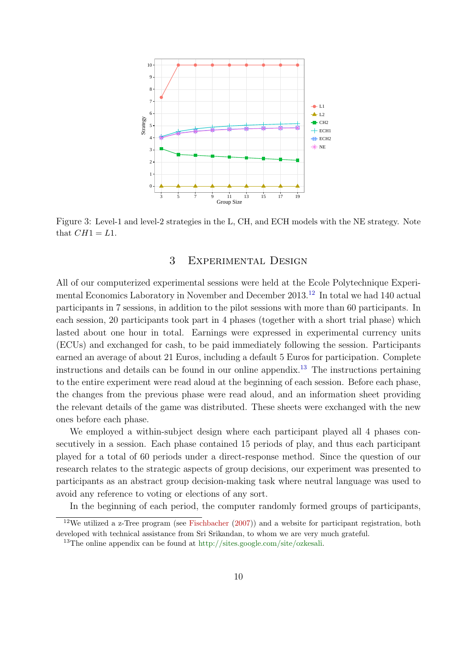<span id="page-9-1"></span>

Figure 3: Level-1 and level-2 strategies in the L, CH, and ECH models with the NE strategy. Note that  $CH1 = L1$ .

# 3 Experimental Design

<span id="page-9-0"></span>All of our computerized experimental sessions were held at the Ecole Polytechnique Experi-mental Economics Laboratory in November and December 2013.<sup>[12](#page-9-2)</sup> In total we had 140 actual participants in 7 sessions, in addition to the pilot sessions with more than 60 participants. In each session, 20 participants took part in 4 phases (together with a short trial phase) which lasted about one hour in total. Earnings were expressed in experimental currency units (ECUs) and exchanged for cash, to be paid immediately following the session. Participants earned an average of about 21 Euros, including a default 5 Euros for participation. Complete instructions and details can be found in our online appendix.<sup>[13](#page-9-3)</sup> The instructions pertaining to the entire experiment were read aloud at the beginning of each session. Before each phase, the changes from the previous phase were read aloud, and an information sheet providing the relevant details of the game was distributed. These sheets were exchanged with the new ones before each phase.

We employed a within-subject design where each participant played all 4 phases consecutively in a session. Each phase contained 15 periods of play, and thus each participant played for a total of 60 periods under a direct-response method. Since the question of our research relates to the strategic aspects of group decisions, our experiment was presented to participants as an abstract group decision-making task where neutral language was used to avoid any reference to voting or elections of any sort.

<span id="page-9-2"></span>In the beginning of each period, the computer randomly formed groups of participants,

 $12$ We utilized a z-Tree program (see [Fischbacher](#page-27-10) [\(2007\)](#page-27-10)) and a website for participant registration, both developed with technical assistance from Sri Srikandan, to whom we are very much grateful.

<span id="page-9-3"></span><sup>&</sup>lt;sup>13</sup>The online appendix can be found at [http://sites.google.com/site/ozkesali.](http://sites.google.com/site/ozkesali)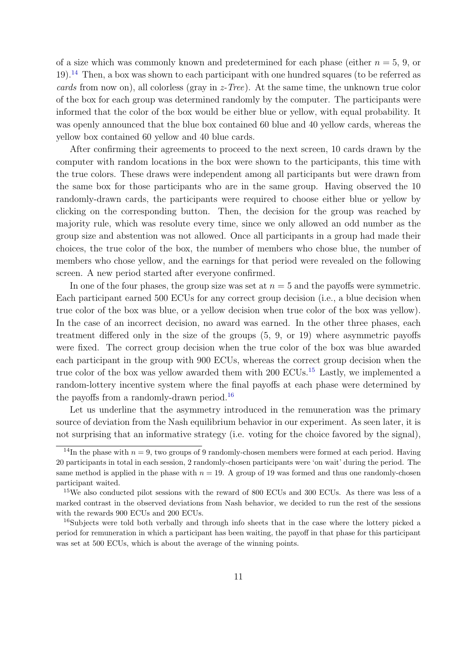of a size which was commonly known and predetermined for each phase (either  $n = 5, 9$ , or 19).[14](#page-10-0) Then, a box was shown to each participant with one hundred squares (to be referred as cards from now on), all colorless (gray in  $z$ -Tree). At the same time, the unknown true color of the box for each group was determined randomly by the computer. The participants were informed that the color of the box would be either blue or yellow, with equal probability. It was openly announced that the blue box contained 60 blue and 40 yellow cards, whereas the yellow box contained 60 yellow and 40 blue cards.

After confirming their agreements to proceed to the next screen, 10 cards drawn by the computer with random locations in the box were shown to the participants, this time with the true colors. These draws were independent among all participants but were drawn from the same box for those participants who are in the same group. Having observed the 10 randomly-drawn cards, the participants were required to choose either blue or yellow by clicking on the corresponding button. Then, the decision for the group was reached by majority rule, which was resolute every time, since we only allowed an odd number as the group size and abstention was not allowed. Once all participants in a group had made their choices, the true color of the box, the number of members who chose blue, the number of members who chose yellow, and the earnings for that period were revealed on the following screen. A new period started after everyone confirmed.

In one of the four phases, the group size was set at  $n = 5$  and the payoffs were symmetric. Each participant earned 500 ECUs for any correct group decision (i.e., a blue decision when true color of the box was blue, or a yellow decision when true color of the box was yellow). In the case of an incorrect decision, no award was earned. In the other three phases, each treatment differed only in the size of the groups (5, 9, or 19) where asymmetric payoffs were fixed. The correct group decision when the true color of the box was blue awarded each participant in the group with 900 ECUs, whereas the correct group decision when the true color of the box was yellow awarded them with  $200$  ECUs.<sup>[15](#page-10-1)</sup> Lastly, we implemented a random-lottery incentive system where the final payoffs at each phase were determined by the payoffs from a randomly-drawn period.<sup>[16](#page-10-2)</sup>

Let us underline that the asymmetry introduced in the remuneration was the primary source of deviation from the Nash equilibrium behavior in our experiment. As seen later, it is not surprising that an informative strategy (i.e. voting for the choice favored by the signal),

<span id="page-10-0"></span><sup>&</sup>lt;sup>14</sup>In the phase with  $n = 9$ , two groups of 9 randomly-chosen members were formed at each period. Having 20 participants in total in each session, 2 randomly-chosen participants were 'on wait' during the period. The same method is applied in the phase with  $n = 19$ . A group of 19 was formed and thus one randomly-chosen participant waited.

<span id="page-10-1"></span><sup>&</sup>lt;sup>15</sup>We also conducted pilot sessions with the reward of 800 ECUs and 300 ECUs. As there was less of a marked contrast in the observed deviations from Nash behavior, we decided to run the rest of the sessions with the rewards 900 ECUs and 200 ECUs.

<span id="page-10-2"></span><sup>&</sup>lt;sup>16</sup>Subjects were told both verbally and through info sheets that in the case where the lottery picked a period for remuneration in which a participant has been waiting, the payoff in that phase for this participant was set at 500 ECUs, which is about the average of the winning points.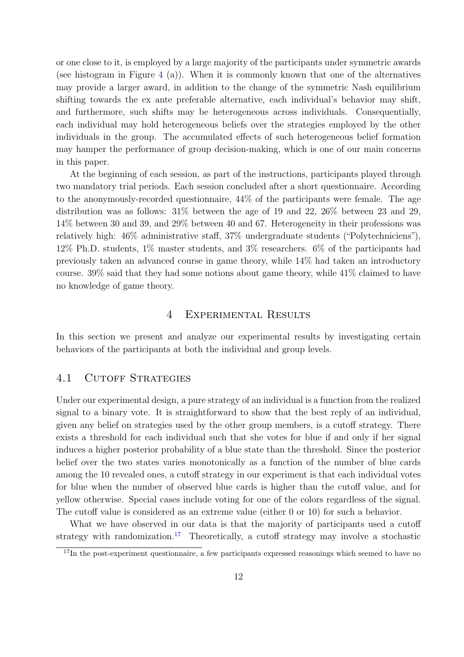or one close to it, is employed by a large majority of the participants under symmetric awards (see histogram in Figure [4](#page-14-0) (a)). When it is commonly known that one of the alternatives may provide a larger award, in addition to the change of the symmetric Nash equilibrium shifting towards the ex ante preferable alternative, each individual's behavior may shift, and furthermore, such shifts may be heterogeneous across individuals. Consequentially, each individual may hold heterogeneous beliefs over the strategies employed by the other individuals in the group. The accumulated effects of such heterogeneous belief formation may hamper the performance of group decision-making, which is one of our main concerns in this paper.

At the beginning of each session, as part of the instructions, participants played through two mandatory trial periods. Each session concluded after a short questionnaire. According to the anonymously-recorded questionnaire, 44% of the participants were female. The age distribution was as follows: 31% between the age of 19 and 22, 26% between 23 and 29, 14% between 30 and 39, and 29% between 40 and 67. Heterogeneity in their professions was relatively high: 46% administrative staff, 37% undergraduate students ("Polytechniciens"), 12% Ph.D. students, 1% master students, and 3% researchers. 6% of the participants had previously taken an advanced course in game theory, while 14% had taken an introductory course. 39% said that they had some notions about game theory, while 41% claimed to have no knowledge of game theory.

#### 4 Experimental Results

<span id="page-11-1"></span>In this section we present and analyze our experimental results by investigating certain behaviors of the participants at both the individual and group levels.

#### 4.1 CUTOFF STRATEGIES

Under our experimental design, a pure strategy of an individual is a function from the realized signal to a binary vote. It is straightforward to show that the best reply of an individual, given any belief on strategies used by the other group members, is a cutoff strategy. There exists a threshold for each individual such that she votes for blue if and only if her signal induces a higher posterior probability of a blue state than the threshold. Since the posterior belief over the two states varies monotonically as a function of the number of blue cards among the 10 revealed ones, a cutoff strategy in our experiment is that each individual votes for blue when the number of observed blue cards is higher than the cutoff value, and for yellow otherwise. Special cases include voting for one of the colors regardless of the signal. The cutoff value is considered as an extreme value (either 0 or 10) for such a behavior.

What we have observed in our data is that the majority of participants used a cutoff strategy with randomization.<sup>[17](#page-11-0)</sup> Theoretically, a cutoff strategy may involve a stochastic

<span id="page-11-0"></span> $17$ In the post-experiment questionnaire, a few participants expressed reasonings which seemed to have no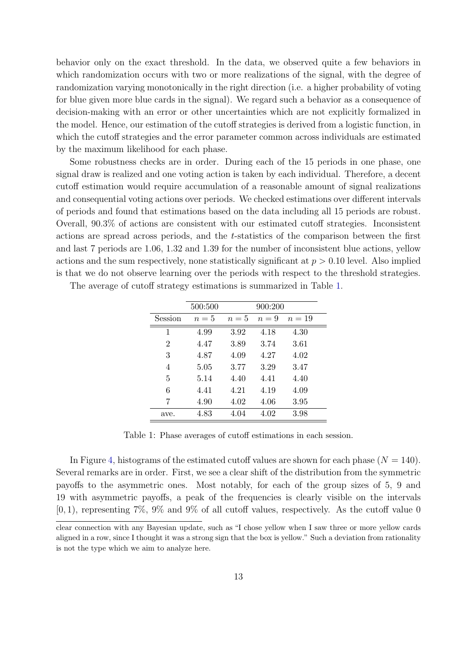behavior only on the exact threshold. In the data, we observed quite a few behaviors in which randomization occurs with two or more realizations of the signal, with the degree of randomization varying monotonically in the right direction (i.e. a higher probability of voting for blue given more blue cards in the signal). We regard such a behavior as a consequence of decision-making with an error or other uncertainties which are not explicitly formalized in the model. Hence, our estimation of the cutoff strategies is derived from a logistic function, in which the cutoff strategies and the error parameter common across individuals are estimated by the maximum likelihood for each phase.

Some robustness checks are in order. During each of the 15 periods in one phase, one signal draw is realized and one voting action is taken by each individual. Therefore, a decent cutoff estimation would require accumulation of a reasonable amount of signal realizations and consequential voting actions over periods. We checked estimations over different intervals of periods and found that estimations based on the data including all 15 periods are robust. Overall, 90.3% of actions are consistent with our estimated cutoff strategies. Inconsistent actions are spread across periods, and the t-statistics of the comparison between the first and last 7 periods are 1.06, 1.32 and 1.39 for the number of inconsistent blue actions, yellow actions and the sum respectively, none statistically significant at  $p > 0.10$  level. Also implied is that we do not observe learning over the periods with respect to the threshold strategies.

|                | 500:500 |       | 900:200 |        |
|----------------|---------|-------|---------|--------|
| Session        | $n=5$   | $n=5$ | $n=9$   | $n=19$ |
| 1              | 4.99    | 3.92  | 4.18    | 4.30   |
| $\overline{2}$ | 4.47    | 3.89  | 3.74    | 3.61   |
| 3              | 4.87    | 4.09  | 4.27    | 4.02   |
| 4              | 5.05    | 3.77  | 3.29    | 3.47   |
| 5              | 5.14    | 4.40  | 4.41    | 4.40   |
| 6              | 4.41    | 4.21  | 4.19    | 4.09   |
| 7              | 4.90    | 4.02  | 4.06    | 3.95   |
| ave.           | 4.83    | 4.04  | 4.02    | 3.98   |

<span id="page-12-0"></span>The average of cutoff strategy estimations is summarized in Table [1.](#page-12-0)

Table 1: Phase averages of cutoff estimations in each session.

In Figure [4,](#page-14-0) histograms of the estimated cutoff values are shown for each phase  $(N = 140)$ . Several remarks are in order. First, we see a clear shift of the distribution from the symmetric payoffs to the asymmetric ones. Most notably, for each of the group sizes of 5, 9 and 19 with asymmetric payoffs, a peak of the frequencies is clearly visible on the intervals  $[0, 1)$ , representing 7%, 9% and 9% of all cutoff values, respectively. As the cutoff value 0

clear connection with any Bayesian update, such as "I chose yellow when I saw three or more yellow cards aligned in a row, since I thought it was a strong sign that the box is yellow." Such a deviation from rationality is not the type which we aim to analyze here.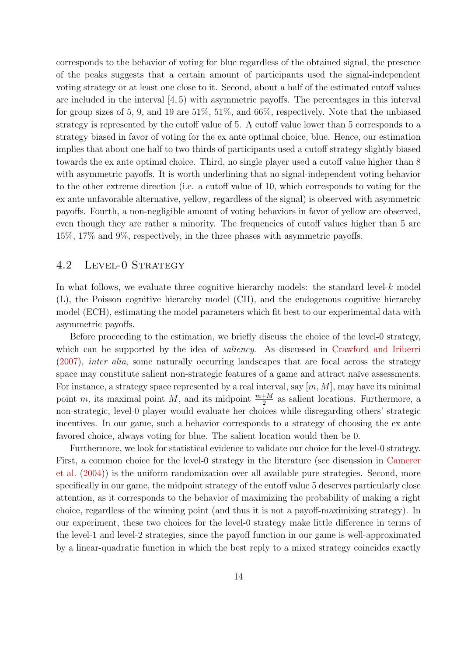corresponds to the behavior of voting for blue regardless of the obtained signal, the presence of the peaks suggests that a certain amount of participants used the signal-independent voting strategy or at least one close to it. Second, about a half of the estimated cutoff values are included in the interval [4, 5) with asymmetric payoffs. The percentages in this interval for group sizes of 5, 9, and 19 are 51%, 51%, and 66%, respectively. Note that the unbiased strategy is represented by the cutoff value of 5. A cutoff value lower than 5 corresponds to a strategy biased in favor of voting for the ex ante optimal choice, blue. Hence, our estimation implies that about one half to two thirds of participants used a cutoff strategy slightly biased towards the ex ante optimal choice. Third, no single player used a cutoff value higher than 8 with asymmetric payoffs. It is worth underlining that no signal-independent voting behavior to the other extreme direction (i.e. a cutoff value of 10, which corresponds to voting for the ex ante unfavorable alternative, yellow, regardless of the signal) is observed with asymmetric payoffs. Fourth, a non-negligible amount of voting behaviors in favor of yellow are observed, even though they are rather a minority. The frequencies of cutoff values higher than 5 are 15%, 17% and 9%, respectively, in the three phases with asymmetric payoffs.

#### 4.2 Level-0 Strategy

In what follows, we evaluate three cognitive hierarchy models: the standard level- $k$  model (L), the Poisson cognitive hierarchy model (CH), and the endogenous cognitive hierarchy model (ECH), estimating the model parameters which fit best to our experimental data with asymmetric payoffs.

Before proceeding to the estimation, we briefly discuss the choice of the level-0 strategy, which can be supported by the idea of *saliency*. As discussed in [Crawford and Iriberri](#page-27-11) [\(2007\)](#page-27-11), inter alia, some naturally occurring landscapes that are focal across the strategy space may constitute salient non-strategic features of a game and attract naïve assessments. For instance, a strategy space represented by a real interval, say  $[m, M]$ , may have its minimal point m, its maximal point M, and its midpoint  $\frac{m+M}{2}$  as salient locations. Furthermore, a non-strategic, level-0 player would evaluate her choices while disregarding others' strategic incentives. In our game, such a behavior corresponds to a strategy of choosing the ex ante favored choice, always voting for blue. The salient location would then be 0.

Furthermore, we look for statistical evidence to validate our choice for the level-0 strategy. First, a common choice for the level-0 strategy in the literature (see discussion in [Camerer](#page-27-5) [et al.](#page-27-5) [\(2004\)](#page-27-5)) is the uniform randomization over all available pure strategies. Second, more specifically in our game, the midpoint strategy of the cutoff value 5 deserves particularly close attention, as it corresponds to the behavior of maximizing the probability of making a right choice, regardless of the winning point (and thus it is not a payoff-maximizing strategy). In our experiment, these two choices for the level-0 strategy make little difference in terms of the level-1 and level-2 strategies, since the payoff function in our game is well-approximated by a linear-quadratic function in which the best reply to a mixed strategy coincides exactly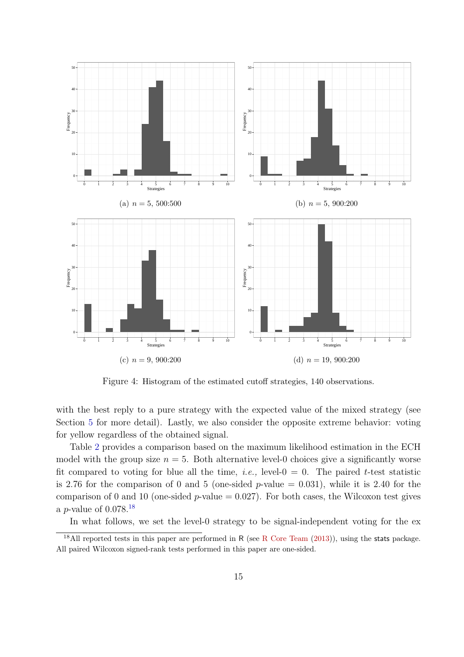<span id="page-14-0"></span>

Figure 4: Histogram of the estimated cutoff strategies, 140 observations.

with the best reply to a pure strategy with the expected value of the mixed strategy (see Section [5](#page-19-0) for more detail). Lastly, we also consider the opposite extreme behavior: voting for yellow regardless of the obtained signal.

Table [2](#page-15-0) provides a comparison based on the maximum likelihood estimation in the ECH model with the group size  $n = 5$ . Both alternative level-0 choices give a significantly worse fit compared to voting for blue all the time, *i.e.*, level- $0 = 0$ . The paired *t*-test statistic is 2.76 for the comparison of 0 and 5 (one-sided p-value  $= 0.031$ ), while it is 2.40 for the comparison of 0 and 10 (one-sided p-value  $= 0.027$ ). For both cases, the Wilcoxon test gives a *p*-value of  $0.078$ <sup>[18](#page-14-1)</sup>

<span id="page-14-1"></span>In what follows, we set the level-0 strategy to be signal-independent voting for the ex-

<sup>&</sup>lt;sup>18</sup>All reported tests in this paper are performed in R (see [R Core Team](#page-28-10)  $(2013)$ ), using the stats package. All paired Wilcoxon signed-rank tests performed in this paper are one-sided.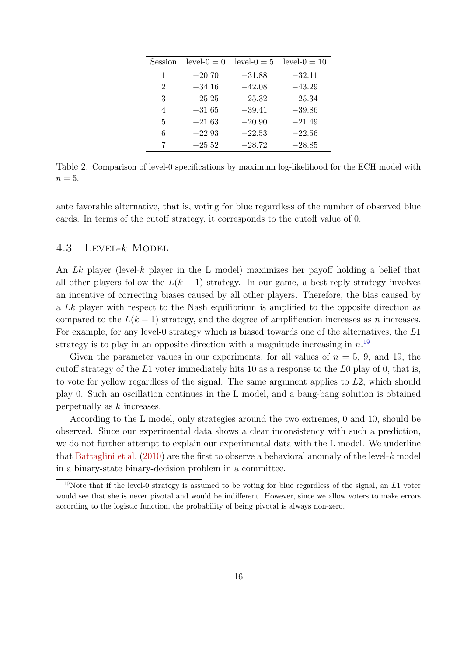<span id="page-15-0"></span>

| Session        | $level-0 = 0$ | $level-0 = 5$ | $level-0 = 10$ |
|----------------|---------------|---------------|----------------|
| 1              | $-20.70$      | $-31.88$      | $-32.11$       |
| 2              | $-34.16$      | $-42.08$      | $-43.29$       |
| 3              | $-25.25$      | $-25.32$      | $-25.34$       |
| $\overline{4}$ | $-31.65$      | $-39.41$      | $-39.86$       |
| 5              | $-21.63$      | $-20.90$      | $-21.49$       |
| 6              | $-22.93$      | $-22.53$      | $-22.56$       |
|                | $-25.52$      | $-28.72$      | $-28.85$       |

Table 2: Comparison of level-0 specifications by maximum log-likelihood for the ECH model with  $n=5$ .

ante favorable alternative, that is, voting for blue regardless of the number of observed blue cards. In terms of the cutoff strategy, it corresponds to the cutoff value of 0.

## <span id="page-15-2"></span>4.3 Level-k Model

An Lk player (level-k player in the L model) maximizes her payoff holding a belief that all other players follow the  $L(k-1)$  strategy. In our game, a best-reply strategy involves an incentive of correcting biases caused by all other players. Therefore, the bias caused by a Lk player with respect to the Nash equilibrium is amplified to the opposite direction as compared to the  $L(k-1)$  strategy, and the degree of amplification increases as n increases. For example, for any level-0 strategy which is biased towards one of the alternatives, the L1 strategy is to play in an opposite direction with a magnitude increasing in  $n^{19}$  $n^{19}$  $n^{19}$ .

Given the parameter values in our experiments, for all values of  $n = 5$ , 9, and 19, the cutoff strategy of the  $L_1$  voter immediately hits 10 as a response to the  $L_0$  play of 0, that is, to vote for yellow regardless of the signal. The same argument applies to L2, which should play 0. Such an oscillation continues in the L model, and a bang-bang solution is obtained perpetually as k increases.

According to the L model, only strategies around the two extremes, 0 and 10, should be observed. Since our experimental data shows a clear inconsistency with such a prediction, we do not further attempt to explain our experimental data with the L model. We underline that [Battaglini et al.](#page-26-7)  $(2010)$  are the first to observe a behavioral anomaly of the level-k model in a binary-state binary-decision problem in a committee.

<span id="page-15-1"></span><sup>&</sup>lt;sup>19</sup>Note that if the level-0 strategy is assumed to be voting for blue regardless of the signal, an  $L1$  voter would see that she is never pivotal and would be indifferent. However, since we allow voters to make errors according to the logistic function, the probability of being pivotal is always non-zero.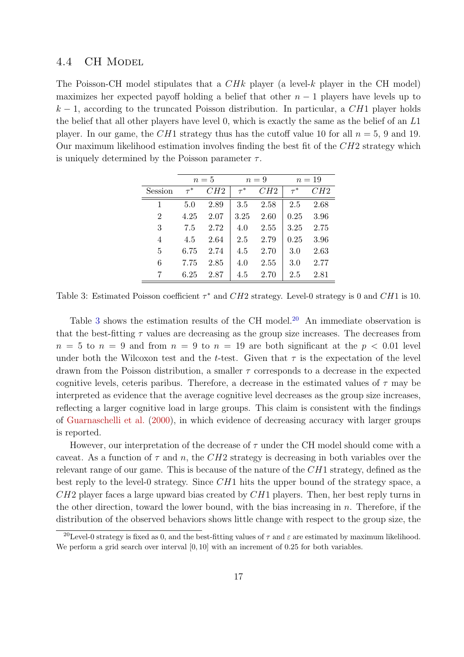#### 4.4 CH Model

The Poisson-CH model stipulates that a *CHk* player (a level-k player in the CH model) maximizes her expected payoff holding a belief that other  $n-1$  players have levels up to  $k-1$ , according to the truncated Poisson distribution. In particular, a CH1 player holds the belief that all other players have level 0, which is exactly the same as the belief of an L1 player. In our game, the CH1 strategy thus has the cutoff value 10 for all  $n = 5$ , 9 and 19. Our maximum likelihood estimation involves finding the best fit of the  $CH2$  strategy which is uniquely determined by the Poisson parameter  $\tau$ .

<span id="page-16-0"></span>

|                | $n=5$    |      |          | $n=9$ | $n=19$   |      |  |
|----------------|----------|------|----------|-------|----------|------|--|
| Session        | $\tau^*$ | CH2  | $\tau^*$ | CH2   | $\tau^*$ | CH2  |  |
| 1              | 5.0      | 2.89 | 3.5      | 2.58  | 2.5      | 2.68 |  |
| $\overline{2}$ | 4.25     | 2.07 | 3.25     | 2.60  | 0.25     | 3.96 |  |
| 3              | 7.5      | 2.72 | 4.0      | 2.55  | 3.25     | 2.75 |  |
| 4              | 4.5      | 2.64 | 2.5      | 2.79  | 0.25     | 3.96 |  |
| 5              | 6.75     | 2.74 | 4.5      | 2.70  | 3.0      | 2.63 |  |
| 6              | 7.75     | 2.85 | 4.0      | 2.55  | 3.0      | 2.77 |  |
| 7              | 6.25     | 2.87 | 4.5      | 2.70  | 2.5      | 2.81 |  |

Table 3: Estimated Poisson coefficient  $\tau^*$  and  $CH2$  strategy. Level-0 strategy is 0 and  $CH1$  is 10.

Table [3](#page-16-0) shows the estimation results of the CH model.<sup>[20](#page-16-1)</sup> An immediate observation is that the best-fitting  $\tau$  values are decreasing as the group size increases. The decreases from  $n = 5$  to  $n = 9$  and from  $n = 9$  to  $n = 19$  are both significant at the  $p < 0.01$  level under both the Wilcoxon test and the t-test. Given that  $\tau$  is the expectation of the level drawn from the Poisson distribution, a smaller  $\tau$  corresponds to a decrease in the expected cognitive levels, ceteris paribus. Therefore, a decrease in the estimated values of  $\tau$  may be interpreted as evidence that the average cognitive level decreases as the group size increases, reflecting a larger cognitive load in large groups. This claim is consistent with the findings of [Guarnaschelli et al.](#page-28-11) [\(2000\)](#page-28-11), in which evidence of decreasing accuracy with larger groups is reported.

However, our interpretation of the decrease of  $\tau$  under the CH model should come with a caveat. As a function of  $\tau$  and n, the CH2 strategy is decreasing in both variables over the relevant range of our game. This is because of the nature of the  $CH1$  strategy, defined as the best reply to the level-0 strategy. Since  $CH1$  hits the upper bound of the strategy space, a  $CH2$  player faces a large upward bias created by  $CH1$  players. Then, her best reply turns in the other direction, toward the lower bound, with the bias increasing in  $n$ . Therefore, if the distribution of the observed behaviors shows little change with respect to the group size, the

<span id="page-16-1"></span><sup>&</sup>lt;sup>20</sup>Level-0 strategy is fixed as 0, and the best-fitting values of  $\tau$  and  $\varepsilon$  are estimated by maximum likelihood. We perform a grid search over interval [0, 10] with an increment of 0.25 for both variables.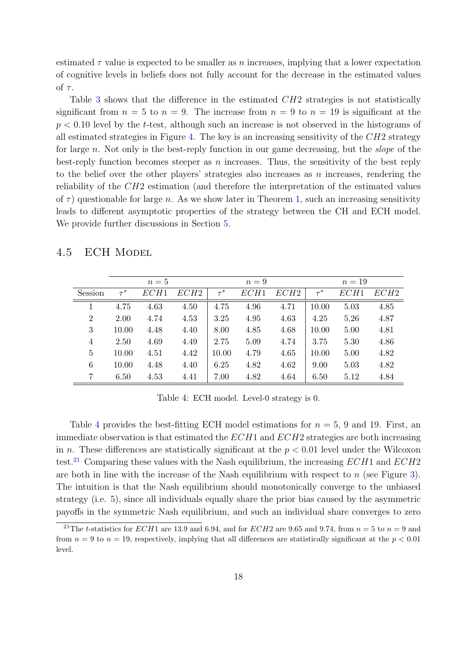estimated  $\tau$  value is expected to be smaller as n increases, implying that a lower expectation of cognitive levels in beliefs does not fully account for the decrease in the estimated values of  $\tau$ .

Table [3](#page-16-0) shows that the difference in the estimated  $CH2$  strategies is not statistically significant from  $n = 5$  to  $n = 9$ . The increase from  $n = 9$  to  $n = 19$  is significant at the  $p < 0.10$  level by the t-test, although such an increase is not observed in the histograms of all estimated strategies in Figure [4.](#page-14-0) The key is an increasing sensitivity of the  $CH2$  strategy for large n. Not only is the best-reply function in our game decreasing, but the slope of the best-reply function becomes steeper as  $n$  increases. Thus, the sensitivity of the best reply to the belief over the other players' strategies also increases as  $n$  increases, rendering the reliability of the CH2 estimation (and therefore the interpretation of the estimated values of  $\tau$ ) questionable for large n. As we show later in Theorem [1,](#page-23-0) such an increasing sensitivity leads to different asymptotic properties of the strategy between the CH and ECH model. We provide further discussions in Section [5.](#page-19-0)

# 4.5 ECH Model

<span id="page-17-0"></span>

|                | $n=5$    |      |      | $n=9$    |      |      | $n=19$   |      |                  |
|----------------|----------|------|------|----------|------|------|----------|------|------------------|
| Session        | $\tau^*$ | ECH1 | ECH2 | $\tau^*$ | ECH1 | ECH2 | $\tau^*$ | ECH1 | ECH <sub>2</sub> |
| 1              | 4.75     | 4.63 | 4.50 | 4.75     | 4.96 | 4.71 | 10.00    | 5.03 | 4.85             |
| $\overline{2}$ | 2.00     | 4.74 | 4.53 | 3.25     | 4.95 | 4.63 | 4.25     | 5.26 | 4.87             |
| 3              | 10.00    | 4.48 | 4.40 | 8.00     | 4.85 | 4.68 | 10.00    | 5.00 | 4.81             |
| 4              | 2.50     | 4.69 | 4.49 | 2.75     | 5.09 | 4.74 | 3.75     | 5.30 | 4.86             |
| 5              | 10.00    | 4.51 | 4.42 | 10.00    | 4.79 | 4.65 | 10.00    | 5.00 | 4.82             |
| 6              | 10.00    | 4.48 | 4.40 | 6.25     | 4.82 | 4.62 | 9.00     | 5.03 | 4.82             |
| 7              | 6.50     | 4.53 | 4.41 | 7.00     | 4.82 | 4.64 | 6.50     | 5.12 | 4.84             |

Table 4: ECH model. Level-0 strategy is 0.

Table [4](#page-17-0) provides the best-fitting ECH model estimations for  $n = 5$ , 9 and 19. First, an immediate observation is that estimated the  $ECH1$  and  $ECH2$  strategies are both increasing in n. These differences are statistically significant at the  $p < 0.01$  level under the Wilcoxon test.<sup>[21](#page-17-1)</sup> Comparing these values with the Nash equilibrium, the increasing  $ECH1$  and  $ECH2$ are both in line with the increase of the Nash equilibrium with respect to  $n$  (see Figure [3\)](#page-9-1). The intuition is that the Nash equilibrium should monotonically converge to the unbiased strategy (i.e. 5), since all individuals equally share the prior bias caused by the asymmetric payoffs in the symmetric Nash equilibrium, and such an individual share converges to zero

<span id="page-17-1"></span><sup>&</sup>lt;sup>21</sup>The *t*-statistics for *ECH*1 are 13.9 and 6.94, and for *ECH*2 are 9.65 and 9.74, from  $n = 5$  to  $n = 9$  and from  $n = 9$  to  $n = 19$ , respectively, implying that all differences are statistically significant at the  $p < 0.01$ level.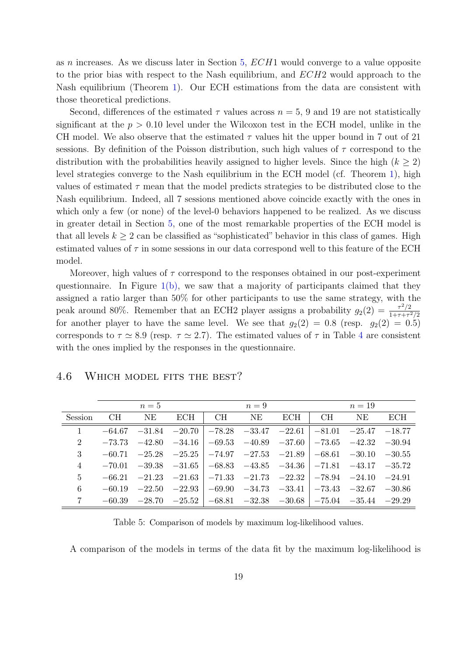as n increases. As we discuss later in Section [5,](#page-19-0)  $ECH1$  would converge to a value opposite to the prior bias with respect to the Nash equilibrium, and ECH2 would approach to the Nash equilibrium (Theorem [1\)](#page-23-0). Our ECH estimations from the data are consistent with those theoretical predictions.

Second, differences of the estimated  $\tau$  values across  $n = 5$ , 9 and 19 are not statistically significant at the  $p > 0.10$  level under the Wilcoxon test in the ECH model, unlike in the CH model. We also observe that the estimated  $\tau$  values hit the upper bound in 7 out of 21 sessions. By definition of the Poisson distribution, such high values of  $\tau$  correspond to the distribution with the probabilities heavily assigned to higher levels. Since the high  $(k \geq 2)$ level strategies converge to the Nash equilibrium in the ECH model (cf. Theorem [1\)](#page-23-0), high values of estimated  $\tau$  mean that the model predicts strategies to be distributed close to the Nash equilibrium. Indeed, all 7 sessions mentioned above coincide exactly with the ones in which only a few (or none) of the level-0 behaviors happened to be realized. As we discuss in greater detail in Section [5,](#page-19-0) one of the most remarkable properties of the ECH model is that all levels  $k \geq 2$  can be classified as "sophisticated" behavior in this class of games. High estimated values of  $\tau$  in some sessions in our data correspond well to this feature of the ECH model.

Moreover, high values of  $\tau$  correspond to the responses obtained in our post-experiment questionnaire. In Figure  $1(b)$ , we saw that a majority of participants claimed that they assigned a ratio larger than 50% for other participants to use the same strategy, with the peak around 80%. Remember that an ECH2 player assigns a probability  $g_2(2) = \frac{\tau^2/2}{1+\tau+\tau^2}$  $1+\tau+\tau^2/2$ for another player to have the same level. We see that  $g_2(2) = 0.8$  (resp.  $g_2(2) = 0.5$ ) corresponds to  $\tau \simeq 8.9$  (resp.  $\tau \simeq 2.7$ ). The estimated values of  $\tau$  in Table [4](#page-17-0) are consistent with the ones implied by the responses in the questionnaire.

#### <span id="page-18-0"></span>4.6 Which model fits the best?

<span id="page-18-1"></span>

|                | $n=5$    |    |                            | $n=9$ |                                                |     | $n=19$ |                                                                                  |          |
|----------------|----------|----|----------------------------|-------|------------------------------------------------|-----|--------|----------------------------------------------------------------------------------|----------|
| Session        | CН       | NE | ECH                        | CH    | NE                                             | ECH | CH     | NE                                                                               | ECH      |
| $\mathbf{1}$   | $-64.67$ |    | $-31.84$ $-20.70$          |       |                                                |     |        | $ -78.28$ $-33.47$ $-22.61$ $ -81.01$ $-25.47$ $-18.77$                          |          |
| $\overline{2}$ |          |    | $-73.73$ $-42.80$ $-34.16$ |       |                                                |     |        | $\vert$ -69.53 -40.89 -37.60 $\vert$ -73.65 -42.32 -30.94                        |          |
| 3              |          |    | $-60.71$ $-25.28$ $-25.25$ |       | $ -74.97$ $-27.53$ $-21.89$ $ -68.61$ $-30.10$ |     |        |                                                                                  | $-30.55$ |
| 4              |          |    | $-70.01$ $-39.38$ $-31.65$ |       |                                                |     |        | $ -68.83 -43.85 -34.36 $ $-71.81 -43.17 -35.72 $                                 |          |
| $\overline{5}$ |          |    | $-66.21$ $-21.23$ $-21.63$ |       |                                                |     |        | $ -71.33$ $-21.73$ $-22.32$ $ -78.94$ $-24.10$ $-24.91$                          |          |
| 6              |          |    | $-60.19$ $-22.50$ $-22.93$ |       |                                                |     |        | $-69.90$ $-34.73$ $-33.41$ $-73.43$ $-32.67$ $-30.86$                            |          |
|                |          |    |                            |       |                                                |     |        | $-60.39$ $-28.70$ $-25.52$ $-68.81$ $-32.38$ $-30.68$ $-75.04$ $-35.44$ $-29.29$ |          |

Table 5: Comparison of models by maximum log-likelihood values.

A comparison of the models in terms of the data fit by the maximum log-likelihood is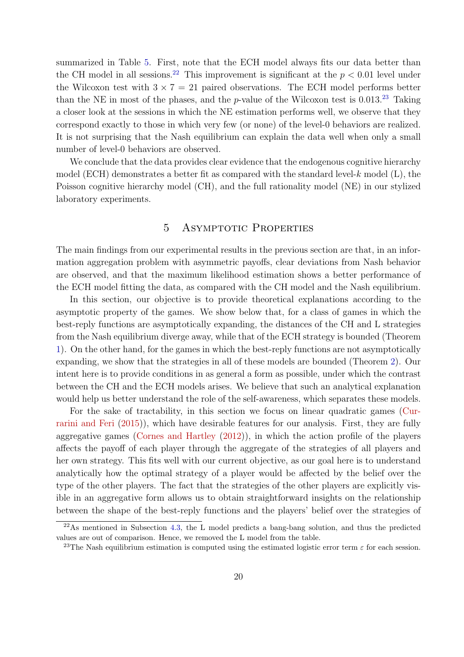summarized in Table [5.](#page-18-1) First, note that the ECH model always fits our data better than the CH model in all sessions.<sup>[22](#page-19-1)</sup> This improvement is significant at the  $p < 0.01$  level under the Wilcoxon test with  $3 \times 7 = 21$  paired observations. The ECH model performs better than the NE in most of the phases, and the  $p$ -value of the Wilcoxon test is 0.013.<sup>[23](#page-19-2)</sup> Taking a closer look at the sessions in which the NE estimation performs well, we observe that they correspond exactly to those in which very few (or none) of the level-0 behaviors are realized. It is not surprising that the Nash equilibrium can explain the data well when only a small number of level-0 behaviors are observed.

We conclude that the data provides clear evidence that the endogenous cognitive hierarchy model (ECH) demonstrates a better fit as compared with the standard level- $k$  model (L), the Poisson cognitive hierarchy model (CH), and the full rationality model (NE) in our stylized laboratory experiments.

## 5 ASYMPTOTIC PROPERTIES

<span id="page-19-0"></span>The main findings from our experimental results in the previous section are that, in an information aggregation problem with asymmetric payoffs, clear deviations from Nash behavior are observed, and that the maximum likelihood estimation shows a better performance of the ECH model fitting the data, as compared with the CH model and the Nash equilibrium.

In this section, our objective is to provide theoretical explanations according to the asymptotic property of the games. We show below that, for a class of games in which the best-reply functions are asymptotically expanding, the distances of the CH and L strategies from the Nash equilibrium diverge away, while that of the ECH strategy is bounded (Theorem [1\)](#page-23-0). On the other hand, for the games in which the best-reply functions are not asymptotically expanding, we show that the strategies in all of these models are bounded (Theorem [2\)](#page-23-1). Our intent here is to provide conditions in as general a form as possible, under which the contrast between the CH and the ECH models arises. We believe that such an analytical explanation would help us better understand the role of the self-awareness, which separates these models.

For the sake of tractability, in this section we focus on linear quadratic games [\(Cur](#page-27-12)[rarini and Feri](#page-27-12) [\(2015\)](#page-27-12)), which have desirable features for our analysis. First, they are fully aggregative games [\(Cornes and Hartley](#page-27-13) [\(2012\)](#page-27-13)), in which the action profile of the players affects the payoff of each player through the aggregate of the strategies of all players and her own strategy. This fits well with our current objective, as our goal here is to understand analytically how the optimal strategy of a player would be affected by the belief over the type of the other players. The fact that the strategies of the other players are explicitly visible in an aggregative form allows us to obtain straightforward insights on the relationship between the shape of the best-reply functions and the players' belief over the strategies of

<span id="page-19-1"></span> $^{22}$ As mentioned in Subsection [4.3,](#page-15-2) the L model predicts a bang-bang solution, and thus the predicted values are out of comparison. Hence, we removed the L model from the table.

<span id="page-19-2"></span><sup>&</sup>lt;sup>23</sup>The Nash equilibrium estimation is computed using the estimated logistic error term  $\varepsilon$  for each session.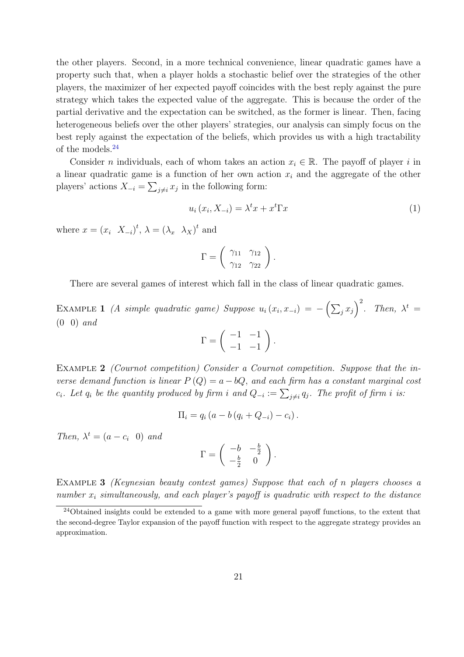the other players. Second, in a more technical convenience, linear quadratic games have a property such that, when a player holds a stochastic belief over the strategies of the other players, the maximizer of her expected payoff coincides with the best reply against the pure strategy which takes the expected value of the aggregate. This is because the order of the partial derivative and the expectation can be switched, as the former is linear. Then, facing heterogeneous beliefs over the other players' strategies, our analysis can simply focus on the best reply against the expectation of the beliefs, which provides us with a high tractability of the models.[24](#page-20-0)

Consider n individuals, each of whom takes an action  $x_i \in \mathbb{R}$ . The payoff of player i in a linear quadratic game is a function of her own action  $x_i$  and the aggregate of the other players' actions  $X_{-i} = \sum_{j \neq i} x_j$  in the following form:

<span id="page-20-1"></span>
$$
u_i(x_i, X_{-i}) = \lambda^t x + x^t \Gamma x \tag{1}
$$

where  $x = (x_i \ X_{-i})^t$ ,  $\lambda = (\lambda_x \ \lambda_X)^t$  and

$$
\Gamma = \left(\begin{array}{cc} \gamma_{11} & \gamma_{12} \\ \gamma_{12} & \gamma_{22} \end{array}\right).
$$

There are several games of interest which fall in the class of linear quadratic games.

<span id="page-20-2"></span>EXAMPLE 1 (A simple quadratic game) Suppose  $u_i(x_i, x_{-i}) = -(\sum_j x_j)^2$ . Then,  $\lambda^t =$ (0 0) and

$$
\Gamma = \left( \begin{array}{cc} -1 & -1 \\ -1 & -1 \end{array} \right).
$$

<span id="page-20-3"></span>Example 2 (Cournot competition) Consider a Cournot competition. Suppose that the inverse demand function is linear  $P(Q) = a - bQ$ , and each firm has a constant marginal cost c<sub>i</sub>. Let  $q_i$  be the quantity produced by firm i and  $Q_{-i} := \sum_{j \neq i} q_j$ . The profit of firm i is:

$$
\Pi_i = q_i (a - b (q_i + Q_{-i}) - c_i).
$$

Then,  $\lambda^t = (a - c_i \quad 0)$  and

$$
\Gamma = \left( \begin{array}{cc} -b & -\frac{b}{2} \\ -\frac{b}{2} & 0 \end{array} \right).
$$

<span id="page-20-4"></span>EXAMPLE 3 *(Keynesian beauty contest games)* Suppose that each of n players chooses a number  $x_i$  simultaneously, and each player's payoff is quadratic with respect to the distance

<span id="page-20-0"></span><sup>&</sup>lt;sup>24</sup>Obtained insights could be extended to a game with more general payoff functions, to the extent that the second-degree Taylor expansion of the payoff function with respect to the aggregate strategy provides an approximation.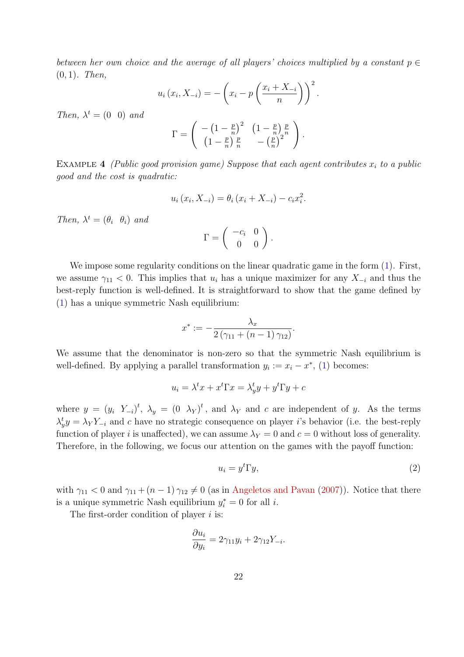between her own choice and the average of all players' choices multiplied by a constant  $p \in$  $(0, 1)$ . Then,

$$
u_i(x_i, X_{-i}) = -\left(x_i - p\left(\frac{x_i + X_{-i}}{n}\right)\right)^2
$$

Then,  $\lambda^t = (0 \ 0)$  and

$$
\Gamma = \left( \begin{array}{cc} -\left(1-\frac{p}{n}\right)^2 & \left(1-\frac{p}{n}\right)\frac{p}{n} \\ \left(1-\frac{p}{n}\right)\frac{p}{n} & -\left(\frac{p}{n}\right)^2 \end{array} \right).
$$

EXAMPLE 4 (Public good provision game) Suppose that each agent contributes  $x_i$  to a public good and the cost is quadratic:

$$
u_i(x_i, X_{-i}) = \theta_i(x_i + X_{-i}) - c_i x_i^2.
$$

Then,  $\lambda^t = (\theta_i \ \theta_i)$  and

$$
\Gamma = \left( \begin{array}{cc} -c_i & 0 \\ 0 & 0 \end{array} \right).
$$

We impose some regularity conditions on the linear quadratic game in the form  $(1)$ . First, we assume  $\gamma_{11}$  < 0. This implies that  $u_i$  has a unique maximizer for any  $X_{-i}$  and thus the best-reply function is well-defined. It is straightforward to show that the game defined by [\(1\)](#page-20-1) has a unique symmetric Nash equilibrium:

$$
x^* := -\frac{\lambda_x}{2(\gamma_{11} + (n-1)\gamma_{12})}.
$$

We assume that the denominator is non-zero so that the symmetric Nash equilibrium is well-defined. By applying a parallel transformation  $y_i := x_i - x^*$ , [\(1\)](#page-20-1) becomes:

$$
u_i = \lambda^t x + x^t \Gamma x = \lambda_y^t y + y^t \Gamma y + c
$$

where  $y = (y_i Y_{-i})^t$ ,  $\lambda_y = (0 \lambda_Y)^t$ , and  $\lambda_Y$  and c are independent of y. As the terms  $\lambda_y^t y = \lambda_Y Y_{-i}$  and c have no strategic consequence on player i's behavior (i.e. the best-reply function of player i is unaffected), we can assume  $\lambda_Y = 0$  and  $c = 0$  without loss of generality. Therefore, in the following, we focus our attention on the games with the payoff function:

<span id="page-21-0"></span>
$$
u_i = y^t \Gamma y,\tag{2}
$$

.

with  $\gamma_{11}$  < 0 and  $\gamma_{11}$  +  $(n-1)\gamma_{12} \neq 0$  (as in [Angeletos and Pavan](#page-26-8) [\(2007\)](#page-26-8)). Notice that there is a unique symmetric Nash equilibrium  $y_i^* = 0$  for all *i*.

The first-order condition of player  $i$  is:

$$
\frac{\partial u_i}{\partial y_i} = 2\gamma_{11}y_i + 2\gamma_{12}Y_{-i}.
$$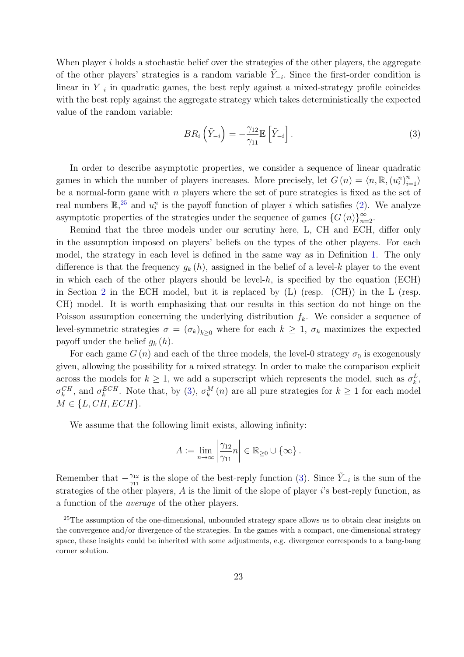When player  $i$  holds a stochastic belief over the strategies of the other players, the aggregate of the other players' strategies is a random variable  $\tilde{Y}_{-i}$ . Since the first-order condition is linear in Y<sup>−</sup><sup>i</sup> in quadratic games, the best reply against a mixed-strategy profile coincides with the best reply against the aggregate strategy which takes deterministically the expected value of the random variable:

<span id="page-22-1"></span>
$$
BR_i\left(\tilde{Y}_{-i}\right) = -\frac{\gamma_{12}}{\gamma_{11}} \mathbb{E}\left[\tilde{Y}_{-i}\right].\tag{3}
$$

In order to describe asymptotic properties, we consider a sequence of linear quadratic games in which the number of players increases. More precisely, let  $G(n) = \langle n, \mathbb{R}, (u_i^n)_{i=1}^n \rangle$ be a normal-form game with  $n$  players where the set of pure strategies is fixed as the set of real numbers  $\mathbb{R}^{25}$  $\mathbb{R}^{25}$  $\mathbb{R}^{25}$  and  $u_i^n$  is the payoff function of player i which satisfies [\(2\)](#page-21-0). We analyze asymptotic properties of the strategies under the sequence of games  $\{G(n)\}_{n=2}^{\infty}$ .

Remind that the three models under our scrutiny here, L, CH and ECH, differ only in the assumption imposed on players' beliefs on the types of the other players. For each model, the strategy in each level is defined in the same way as in Definition [1.](#page-6-0) The only difference is that the frequency  $g_k(h)$ , assigned in the belief of a level-k player to the event in which each of the other players should be level-h, is specified by the equation (ECH) in Section [2](#page-4-0) in the ECH model, but it is replaced by (L) (resp. (CH)) in the L (resp. CH) model. It is worth emphasizing that our results in this section do not hinge on the Poisson assumption concerning the underlying distribution  $f_k$ . We consider a sequence of level-symmetric strategies  $\sigma = (\sigma_k)_{k \geq 0}$  where for each  $k \geq 1$ ,  $\sigma_k$  maximizes the expected payoff under the belief  $g_k(h)$ .

For each game  $G(n)$  and each of the three models, the level-0 strategy  $\sigma_0$  is exogenously given, allowing the possibility for a mixed strategy. In order to make the comparison explicit across the models for  $k \geq 1$ , we add a superscript which represents the model, such as  $\sigma_k^L$ ,  $\sigma_k^{CH}$ , and  $\sigma_k^{ECH}$ . Note that, by [\(3\)](#page-22-1),  $\sigma_k^{M}(n)$  are all pure strategies for  $k \geq 1$  for each model  $M \in \{L, CH, ECH\}.$ 

We assume that the following limit exists, allowing infinity:

$$
A := \lim_{n \to \infty} \left| \frac{\gamma_{12}}{\gamma_{11}} n \right| \in \mathbb{R}_{\geq 0} \cup \{ \infty \}.
$$

Remember that  $-\frac{\gamma_{12}}{\gamma_{11}}$  $\frac{\gamma_{12}}{\gamma_{11}}$  is the slope of the best-reply function [\(3\)](#page-22-1). Since  $\tilde{Y}_{-i}$  is the sum of the strategies of the other players, A is the limit of the slope of player i's best-reply function, as a function of the average of the other players.

<span id="page-22-0"></span><sup>&</sup>lt;sup>25</sup>The assumption of the one-dimensional, unbounded strategy space allows us to obtain clear insights on the convergence and/or divergence of the strategies. In the games with a compact, one-dimensional strategy space, these insights could be inherited with some adjustments, e.g. divergence corresponds to a bang-bang corner solution.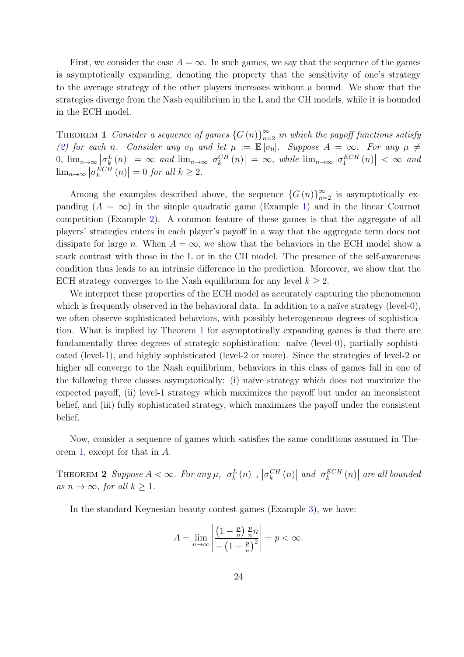First, we consider the case  $A = \infty$ . In such games, we say that the sequence of the games is asymptotically expanding, denoting the property that the sensitivity of one's strategy to the average strategy of the other players increases without a bound. We show that the strategies diverge from the Nash equilibrium in the L and the CH models, while it is bounded in the ECH model.

<span id="page-23-0"></span>THEOREM 1 Consider a sequence of games  $\{G(n)\}_{n=2}^{\infty}$  in which the payoff functions satisfy [\(2\)](#page-21-0) for each n. Consider any  $\sigma_0$  and let  $\mu := \mathbb{E}[\sigma_0]$ . Suppose  $A = \infty$ . For any  $\mu \neq$  $[0, \lim_{n\to\infty} \left| \sigma_k^L(n) \right| = \infty$  and  $\lim_{n\to\infty} \left| \sigma_k^{CH}(n) \right| = \infty$ , while  $\lim_{n\to\infty} \left| \sigma_1^{ECH}(n) \right| < \infty$  and  $\lim_{n\to\infty} |\sigma_k^{ECH}(n)| = 0$  for all  $k \geq 2$ .

Among the examples described above, the sequence  $\{G(n)\}_{n=2}^{\infty}$  is asymptotically expanding  $(A = \infty)$  in the simple quadratic game (Example [1\)](#page-20-2) and in the linear Cournot competition (Example [2\)](#page-20-3). A common feature of these games is that the aggregate of all players' strategies enters in each player's payoff in a way that the aggregate term does not dissipate for large n. When  $A = \infty$ , we show that the behaviors in the ECH model show a stark contrast with those in the L or in the CH model. The presence of the self-awareness condition thus leads to an intrinsic difference in the prediction. Moreover, we show that the ECH strategy converges to the Nash equilibrium for any level  $k \geq 2$ .

We interpret these properties of the ECH model as accurately capturing the phenomenon which is frequently observed in the behavioral data. In addition to a naïve strategy (level-0), we often observe sophisticated behaviors, with possibly heterogeneous degrees of sophistication. What is implied by Theorem [1](#page-23-0) for asymptotically expanding games is that there are fundamentally three degrees of strategic sophistication: naïve (level-0), partially sophisticated (level-1), and highly sophisticated (level-2 or more). Since the strategies of level-2 or higher all converge to the Nash equilibrium, behaviors in this class of games fall in one of the following three classes asymptotically: (i) naïve strategy which does not maximize the expected payoff, (ii) level-1 strategy which maximizes the payoff but under an inconsistent belief, and (iii) fully sophisticated strategy, which maximizes the payoff under the consistent belief.

Now, consider a sequence of games which satisfies the same conditions assumed in Theorem [1,](#page-23-0) except for that in A.

<span id="page-23-1"></span>THEOREM 2 Suppose  $A < \infty$ . For any  $\mu$ ,  $|\sigma_k^L(n)|$ ,  $|\sigma_k^{CH}(n)|$  and  $|\sigma_k^{ECH}(n)|$  are all bounded as  $n \to \infty$ , for all  $k \geq 1$ .

In the standard Keynesian beauty contest games (Example [3\)](#page-20-4), we have:

$$
A = \lim_{n \to \infty} \left| \frac{\left(1 - \frac{p}{n}\right) \frac{p}{n} n}{- \left(1 - \frac{p}{n}\right)^2} \right| = p < \infty.
$$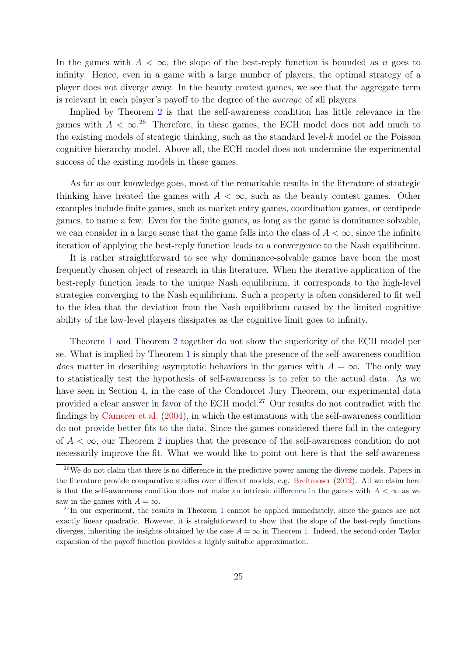In the games with  $A < \infty$ , the slope of the best-reply function is bounded as n goes to infinity. Hence, even in a game with a large number of players, the optimal strategy of a player does not diverge away. In the beauty contest games, we see that the aggregate term is relevant in each player's payoff to the degree of the average of all players.

Implied by Theorem [2](#page-23-1) is that the self-awareness condition has little relevance in the games with  $A < \infty$ .<sup>[26](#page-24-0)</sup> Therefore, in these games, the ECH model does not add much to the existing models of strategic thinking, such as the standard level- $k$  model or the Poisson cognitive hierarchy model. Above all, the ECH model does not undermine the experimental success of the existing models in these games.

As far as our knowledge goes, most of the remarkable results in the literature of strategic thinking have treated the games with  $A < \infty$ , such as the beauty contest games. Other examples include finite games, such as market entry games, coordination games, or centipede games, to name a few. Even for the finite games, as long as the game is dominance solvable, we can consider in a large sense that the game falls into the class of  $A < \infty$ , since the infinite iteration of applying the best-reply function leads to a convergence to the Nash equilibrium.

It is rather straightforward to see why dominance-solvable games have been the most frequently chosen object of research in this literature. When the iterative application of the best-reply function leads to the unique Nash equilibrium, it corresponds to the high-level strategies converging to the Nash equilibrium. Such a property is often considered to fit well to the idea that the deviation from the Nash equilibrium caused by the limited cognitive ability of the low-level players dissipates as the cognitive limit goes to infinity.

Theorem [1](#page-23-0) and Theorem [2](#page-23-1) together do not show the superiority of the ECH model per se. What is implied by Theorem [1](#page-23-0) is simply that the presence of the self-awareness condition *does* matter in describing asymptotic behaviors in the games with  $A = \infty$ . The only way to statistically test the hypothesis of self-awareness is to refer to the actual data. As we have seen in Section [4,](#page-11-1) in the case of the Condorcet Jury Theorem, our experimental data provided a clear answer in favor of the ECH model.[27](#page-24-1) Our results do not contradict with the findings by [Camerer et al.](#page-27-5) [\(2004\)](#page-27-5), in which the estimations with the self-awareness condition do not provide better fits to the data. Since the games considered there fall in the category of  $A < \infty$ , our Theorem [2](#page-23-1) implies that the presence of the self-awareness condition do not necessarily improve the fit. What we would like to point out here is that the self-awareness

<span id="page-24-0"></span><sup>&</sup>lt;sup>26</sup>We do not claim that there is no difference in the predictive power among the diverse models. Papers in the literature provide comparative studies over different models, e.g. [Breitmoser](#page-26-9) [\(2012\)](#page-26-9). All we claim here is that the self-awareness condition does not make an intrinsic difference in the games with  $A < \infty$  as we saw in the games with  $A = \infty$ .

<span id="page-24-1"></span> $^{27}$ In our experiment, the results in Theorem [1](#page-23-0) cannot be applied immediately, since the games are not exactly linear quadratic. However, it is straightforward to show that the slope of the best-reply functions diverges, inheriting the insights obtained by the case  $A = \infty$  in Theorem [1.](#page-23-0) Indeed, the second-order Taylor expansion of the payoff function provides a highly suitable approximation.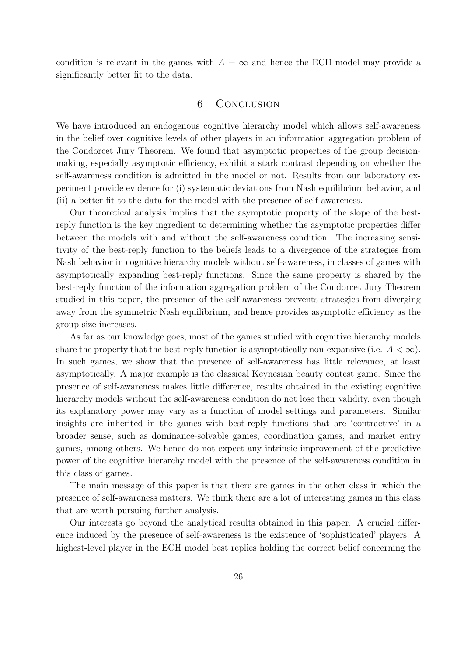condition is relevant in the games with  $A = \infty$  and hence the ECH model may provide a significantly better fit to the data.

#### 6 Conclusion

We have introduced an endogenous cognitive hierarchy model which allows self-awareness in the belief over cognitive levels of other players in an information aggregation problem of the Condorcet Jury Theorem. We found that asymptotic properties of the group decisionmaking, especially asymptotic efficiency, exhibit a stark contrast depending on whether the self-awareness condition is admitted in the model or not. Results from our laboratory experiment provide evidence for (i) systematic deviations from Nash equilibrium behavior, and (ii) a better fit to the data for the model with the presence of self-awareness.

Our theoretical analysis implies that the asymptotic property of the slope of the bestreply function is the key ingredient to determining whether the asymptotic properties differ between the models with and without the self-awareness condition. The increasing sensitivity of the best-reply function to the beliefs leads to a divergence of the strategies from Nash behavior in cognitive hierarchy models without self-awareness, in classes of games with asymptotically expanding best-reply functions. Since the same property is shared by the best-reply function of the information aggregation problem of the Condorcet Jury Theorem studied in this paper, the presence of the self-awareness prevents strategies from diverging away from the symmetric Nash equilibrium, and hence provides asymptotic efficiency as the group size increases.

As far as our knowledge goes, most of the games studied with cognitive hierarchy models share the property that the best-reply function is asymptotically non-expansive (i.e.  $A < \infty$ ). In such games, we show that the presence of self-awareness has little relevance, at least asymptotically. A major example is the classical Keynesian beauty contest game. Since the presence of self-awareness makes little difference, results obtained in the existing cognitive hierarchy models without the self-awareness condition do not lose their validity, even though its explanatory power may vary as a function of model settings and parameters. Similar insights are inherited in the games with best-reply functions that are 'contractive' in a broader sense, such as dominance-solvable games, coordination games, and market entry games, among others. We hence do not expect any intrinsic improvement of the predictive power of the cognitive hierarchy model with the presence of the self-awareness condition in this class of games.

The main message of this paper is that there are games in the other class in which the presence of self-awareness matters. We think there are a lot of interesting games in this class that are worth pursuing further analysis.

Our interests go beyond the analytical results obtained in this paper. A crucial difference induced by the presence of self-awareness is the existence of 'sophisticated' players. A highest-level player in the ECH model best replies holding the correct belief concerning the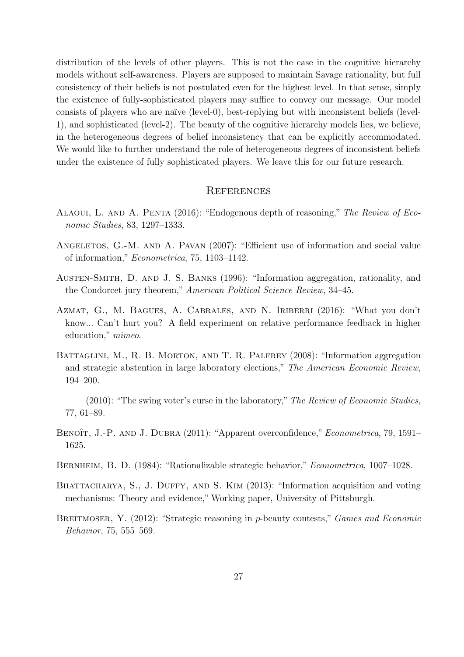distribution of the levels of other players. This is not the case in the cognitive hierarchy models without self-awareness. Players are supposed to maintain Savage rationality, but full consistency of their beliefs is not postulated even for the highest level. In that sense, simply the existence of fully-sophisticated players may suffice to convey our message. Our model consists of players who are na¨ıve (level-0), best-replying but with inconsistent beliefs (level-1), and sophisticated (level-2). The beauty of the cognitive hierarchy models lies, we believe, in the heterogeneous degrees of belief inconsistency that can be explicitly accommodated. We would like to further understand the role of heterogeneous degrees of inconsistent beliefs under the existence of fully sophisticated players. We leave this for our future research.

#### **REFERENCES**

- <span id="page-26-4"></span>Alaoui, L. and A. Penta (2016): "Endogenous depth of reasoning," The Review of Economic Studies, 83, 1297–1333.
- <span id="page-26-8"></span>ANGELETOS, G.-M. AND A. PAVAN (2007): "Efficient use of information and social value of information," Econometrica, 75, 1103–1142.
- <span id="page-26-0"></span>Austen-Smith, D. and J. S. Banks (1996): "Information aggregation, rationality, and the Condorcet jury theorem," American Political Science Review, 34–45.
- <span id="page-26-6"></span>Azmat, G., M. Bagues, A. Cabrales, and N. Iriberri (2016): "What you don't know... Can't hurt you? A field experiment on relative performance feedback in higher education," mimeo.
- <span id="page-26-1"></span>BATTAGLINI, M., R. B. MORTON, AND T. R. PALFREY (2008): "Information aggregation and strategic abstention in large laboratory elections," The American Economic Review, 194–200.
- <span id="page-26-7"></span> $-(2010)$ : "The swing voter's curse in the laboratory," The Review of Economic Studies, 77, 61–89.
- <span id="page-26-5"></span>BENOÎT, J.-P. AND J. DUBRA (2011): "Apparent overconfidence," *Econometrica*, 79, 1591– 1625.
- <span id="page-26-2"></span>Bernheim, B. D. (1984): "Rationalizable strategic behavior," Econometrica, 1007–1028.
- <span id="page-26-3"></span>BHATTACHARYA, S., J. DUFFY, AND S. KIM (2013): "Information acquisition and voting mechanisms: Theory and evidence," Working paper, University of Pittsburgh.
- <span id="page-26-9"></span>BREITMOSER, Y. (2012): "Strategic reasoning in p-beauty contests," *Games and Economic* Behavior, 75, 555–569.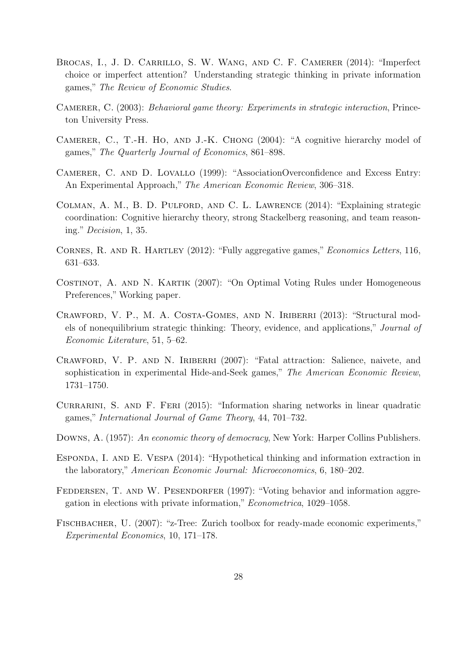- <span id="page-27-4"></span>Brocas, I., J. D. Carrillo, S. W. Wang, and C. F. Camerer (2014): "Imperfect choice or imperfect attention? Understanding strategic thinking in private information games," The Review of Economic Studies.
- <span id="page-27-3"></span>CAMERER, C. (2003): *Behavioral game theory: Experiments in strategic interaction*, Princeton University Press.
- <span id="page-27-5"></span>Camerer, C., T.-H. Ho, and J.-K. Chong (2004): "A cognitive hierarchy model of games," The Quarterly Journal of Economics, 861–898.
- <span id="page-27-9"></span>Camerer, C. and D. Lovallo (1999): "AssociationOverconfidence and Excess Entry: An Experimental Approach," The American Economic Review, 306–318.
- <span id="page-27-7"></span>Colman, A. M., B. D. Pulford, and C. L. Lawrence (2014): "Explaining strategic coordination: Cognitive hierarchy theory, strong Stackelberg reasoning, and team reasoning." Decision, 1, 35.
- <span id="page-27-13"></span>Cornes, R. and R. Hartley (2012): "Fully aggregative games," Economics Letters, 116, 631–633.
- <span id="page-27-8"></span>Costinot, A. and N. Kartik (2007): "On Optimal Voting Rules under Homogeneous Preferences," Working paper.
- <span id="page-27-6"></span>CRAWFORD, V. P., M. A. COSTA-GOMES, AND N. IRIBERRI (2013): "Structural models of nonequilibrium strategic thinking: Theory, evidence, and applications," Journal of Economic Literature, 51, 5–62.
- <span id="page-27-11"></span>CRAWFORD, V. P. AND N. IRIBERRI (2007): "Fatal attraction: Salience, naivete, and sophistication in experimental Hide-and-Seek games," The American Economic Review, 1731–1750.
- <span id="page-27-12"></span>CURRARINI, S. AND F. FERI (2015): "Information sharing networks in linear quadratic games," International Journal of Game Theory, 44, 701–732.
- <span id="page-27-1"></span>DOWNS, A. (1957): An economic theory of democracy, New York: Harper Collins Publishers.
- <span id="page-27-2"></span>ESPONDA, I. AND E. VESPA (2014): "Hypothetical thinking and information extraction in the laboratory," American Economic Journal: Microeconomics, 6, 180–202.
- <span id="page-27-0"></span>FEDDERSEN, T. AND W. PESENDORFER (1997): "Voting behavior and information aggregation in elections with private information," Econometrica, 1029–1058.
- <span id="page-27-10"></span>Fischbacher, U. (2007): "z-Tree: Zurich toolbox for ready-made economic experiments," Experimental Economics, 10, 171–178.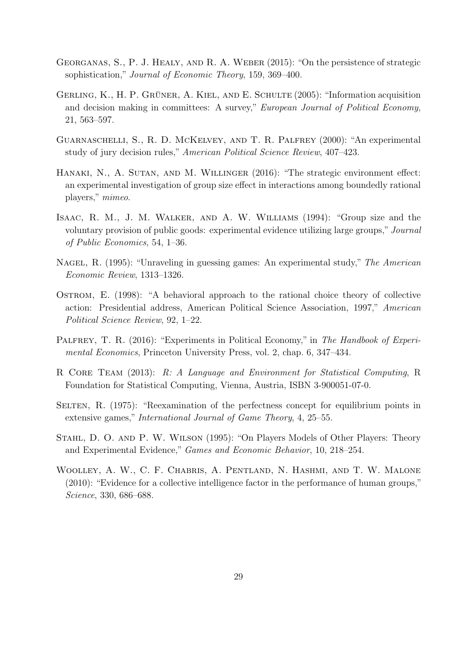- <span id="page-28-6"></span>Georganas, S., P. J. Healy, and R. A. Weber (2015): "On the persistence of strategic sophistication," Journal of Economic Theory, 159, 369–400.
- <span id="page-28-7"></span>GERLING, K., H. P. GRÜNER, A. KIEL, AND E. SCHULTE  $(2005)$ : "Information acquisition and decision making in committees: A survey," European Journal of Political Economy, 21, 563–597.
- <span id="page-28-11"></span>Guarnaschelli, S., R. D. McKelvey, and T. R. Palfrey (2000): "An experimental study of jury decision rules," American Political Science Review, 407–423.
- <span id="page-28-9"></span>HANAKI, N., A. SUTAN, AND M. WILLINGER (2016): "The strategic environment effect: an experimental investigation of group size effect in interactions among boundedly rational players," mimeo.
- <span id="page-28-5"></span>Isaac, R. M., J. M. Walker, and A. W. Williams (1994): "Group size and the voluntary provision of public goods: experimental evidence utilizing large groups," Journal of Public Economics, 54, 1–36.
- <span id="page-28-3"></span>Nagel, R. (1995): "Unraveling in guessing games: An experimental study," The American Economic Review, 1313–1326.
- <span id="page-28-1"></span>Ostrom, E. (1998): "A behavioral approach to the rational choice theory of collective action: Presidential address, American Political Science Association, 1997," American Political Science Review, 92, 1–22.
- <span id="page-28-8"></span>PALFREY, T. R. (2016): "Experiments in Political Economy," in The Handbook of Experimental Economics, Princeton University Press, vol. 2, chap. 6, 347–434.
- <span id="page-28-10"></span>R CORE TEAM (2013): R: A Language and Environment for Statistical Computing, R Foundation for Statistical Computing, Vienna, Austria, ISBN 3-900051-07-0.
- <span id="page-28-2"></span>SELTEN, R. (1975): "Reexamination of the perfectness concept for equilibrium points in extensive games," International Journal of Game Theory, 4, 25–55.
- <span id="page-28-4"></span>Stahl, D. O. and P. W. Wilson (1995): "On Players Models of Other Players: Theory and Experimental Evidence," Games and Economic Behavior, 10, 218–254.
- <span id="page-28-0"></span>Woolley, A. W., C. F. Chabris, A. Pentland, N. Hashmi, and T. W. Malone (2010): "Evidence for a collective intelligence factor in the performance of human groups," Science, 330, 686–688.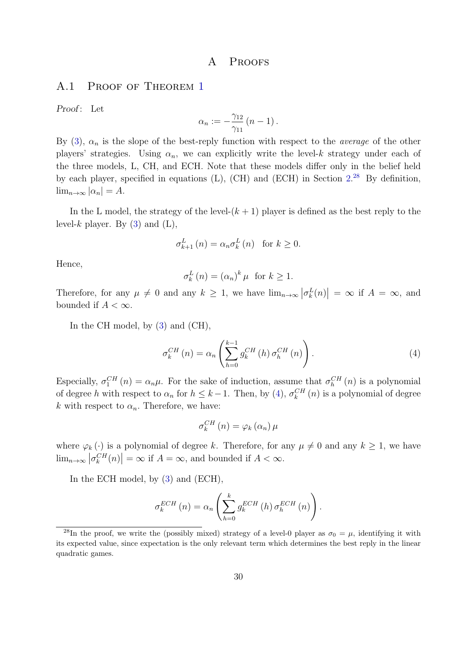## A PROOFS

#### A.[1](#page-23-0) PROOF OF THEOREM 1

Proof: Let

$$
\alpha_n := -\frac{\gamma_{12}}{\gamma_{11}} (n-1).
$$

By [\(3\)](#page-22-1),  $\alpha_n$  is the slope of the best-reply function with respect to the *average* of the other players' strategies. Using  $\alpha_n$ , we can explicitly write the level-k strategy under each of the three models, L, CH, and ECH. Note that these models differ only in the belief held by each player, specified in equations  $(L)$ ,  $(CH)$  and  $(ECH)$  in Section  $2^{28}$  $2^{28}$  $2^{28}$  By definition,  $\lim_{n\to\infty} |\alpha_n|=A.$ 

In the L model, the strategy of the level- $(k + 1)$  player is defined as the best reply to the level-k player. By  $(3)$  and  $(L)$ ,

$$
\sigma_{k+1}^{L}(n) = \alpha_n \sigma_k^{L}(n) \text{ for } k \ge 0.
$$

Hence,

$$
\sigma_k^L(n) = (\alpha_n)^k \,\mu \text{ for } k \ge 1.
$$

Therefore, for any  $\mu \neq 0$  and any  $k \geq 1$ , we have  $\lim_{n\to\infty} |\sigma_k^L(n)| = \infty$  if  $A = \infty$ , and bounded if  $A < \infty$ .

In the CH model, by [\(3\)](#page-22-1) and (CH),

<span id="page-29-1"></span>
$$
\sigma_k^{CH}(n) = \alpha_n \left( \sum_{h=0}^{k-1} g_k^{CH}(h) \sigma_h^{CH}(n) \right). \tag{4}
$$

Especially,  $\sigma_1^{CH}(n) = \alpha_n \mu$ . For the sake of induction, assume that  $\sigma_h^{CH}(n)$  is a polynomial of degree h with respect to  $\alpha_n$  for  $h \leq k-1$ . Then, by [\(4\)](#page-29-1),  $\sigma_k^{CH}(n)$  is a polynomial of degree k with respect to  $\alpha_n$ . Therefore, we have:

$$
\sigma_{k}^{CH}\left(n\right)=\varphi_{k}\left(\alpha_{n}\right)\mu
$$

where  $\varphi_k(\cdot)$  is a polynomial of degree k. Therefore, for any  $\mu \neq 0$  and any  $k \geq 1$ , we have  $\lim_{n\to\infty} |\sigma_k^{CH}(n)| = \infty$  if  $A = \infty$ , and bounded if  $A < \infty$ .

In the ECH model, by [\(3\)](#page-22-1) and (ECH),

$$
\sigma_k^{ECH}\left(n\right) = \alpha_n \left(\sum_{h=0}^k g_k^{ECH}\left(h\right)\sigma_k^{ECH}\left(n\right)\right).
$$

<span id="page-29-0"></span><sup>&</sup>lt;sup>28</sup>In the proof, we write the (possibly mixed) strategy of a level-0 player as  $\sigma_0 = \mu$ , identifying it with its expected value, since expectation is the only relevant term which determines the best reply in the linear quadratic games.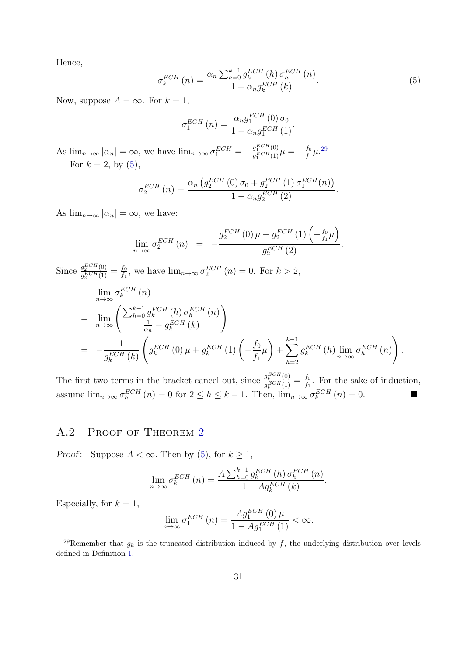Hence,

<span id="page-30-1"></span>
$$
\sigma_k^{ECH}\left(n\right) = \frac{\alpha_n \sum_{h=0}^{k-1} g_k^{ECH}\left(h\right) \sigma_h^{ECH}\left(n\right)}{1 - \alpha_n g_k^{ECH}\left(k\right)}.
$$
\n
$$
\tag{5}
$$

Now, suppose  $A = \infty$ . For  $k = 1$ ,

$$
\sigma_1^{ECH}\left(n\right) = \frac{\alpha_n g_1^{ECH}\left(0\right)\sigma_0}{1 - \alpha_n g_1^{ECH}\left(1\right)}.
$$

As  $\lim_{n\to\infty} |\alpha_n| = \infty$ , we have  $\lim_{n\to\infty} \sigma_1^{ECH} = -\frac{g_1^{ECH}(0)}{g_1^{ECH}(1)}$  $\frac{g_1^{ECH}(0)}{g_1^{ECH}(1)}\mu=-\frac{f_0}{f_1}$  $\frac{f_0}{f_1} \mu$ .<sup>[29](#page-30-0)</sup> For  $k = 2$ , by  $(5)$ ,

$$
\sigma_2^{ECH}\left(n\right) = \frac{\alpha_n \left(g_2^{ECH}\left(0\right)\sigma_0 + g_2^{ECH}\left(1\right)\sigma_1^{ECH}\left(n\right)\right)}{1 - \alpha_n g_2^{ECH}\left(2\right)}.
$$

As  $\lim_{n\to\infty} |\alpha_n| = \infty$ , we have:

$$
\lim_{n \to \infty} \sigma_2^{ECH}(n) = -\frac{g_2^{ECH}(0)\,\mu + g_2^{ECH}(1)\left(-\frac{f_0}{f_1}\mu\right)}{g_2^{ECH}(2)}.
$$

Since 
$$
\frac{g_2^{ECH}(0)}{g_2^{ECH}(1)} = \frac{f_0}{f_1}
$$
, we have  $\lim_{n \to \infty} \sigma_k^{ECH}(n) = 0$ . For  $k > 2$ ,  
\n
$$
\lim_{n \to \infty} \sigma_k^{ECH}(n)
$$
\n
$$
= \lim_{n \to \infty} \left( \frac{\sum_{h=0}^{k-1} g_k^{ECH}(h) \sigma_h^{ECH}(n)}{\frac{1}{\alpha_n} - g_k^{ECH}(k)} \right)
$$
\n
$$
= -\frac{1}{g_k^{ECH}(k)} \left( g_k^{ECH}(0) \mu + g_k^{ECH}(1) \left( -\frac{f_0}{f_1} \mu \right) + \sum_{h=2}^{k-1} g_k^{ECH}(h) \lim_{n \to \infty} \sigma_h^{ECH}(n) \right).
$$

The first two terms in the bracket cancel out, since  $\frac{g_k^{ECH}(0)}{g_k^{ECH}(1)}$  $\frac{g_k^{ECH}(0)}{g_k^{ECH}(1)} = \frac{f_0}{f_1}$  $\frac{f_0}{f_1}$ . For the sake of induction, assume  $\lim_{n\to\infty} \sigma_h^{ECH}(n) = 0$  for  $2 \leq h \leq k-1$ . Then,  $\lim_{n\to\infty} \sigma_k^{ECH}(n) = 0$ .

# A.[2](#page-23-1) PROOF OF THEOREM 2

Proof: Suppose  $A < \infty$ . Then by [\(5\)](#page-30-1), for  $k \ge 1$ ,

$$
\lim_{n \to \infty} \sigma_k^{ECH}\left(n\right) = \frac{A \sum_{h=0}^{k-1} g_k^{ECH}\left(h\right) \sigma_h^{ECH}\left(n\right)}{1 - Ag_k^{ECH}\left(k\right)}.
$$

Especially, for  $k = 1$ ,

$$
\lim_{n \to \infty} \sigma_1^{ECH}\left(n\right) = \frac{Ag_1^{ECH}\left(0\right)\mu}{1 - Ag_1^{ECH}\left(1\right)} < \infty.
$$

<span id="page-30-0"></span><sup>&</sup>lt;sup>29</sup>Remember that  $g_k$  is the truncated distribution induced by f, the underlying distribution over levels defined in Definition [1.](#page-6-0)